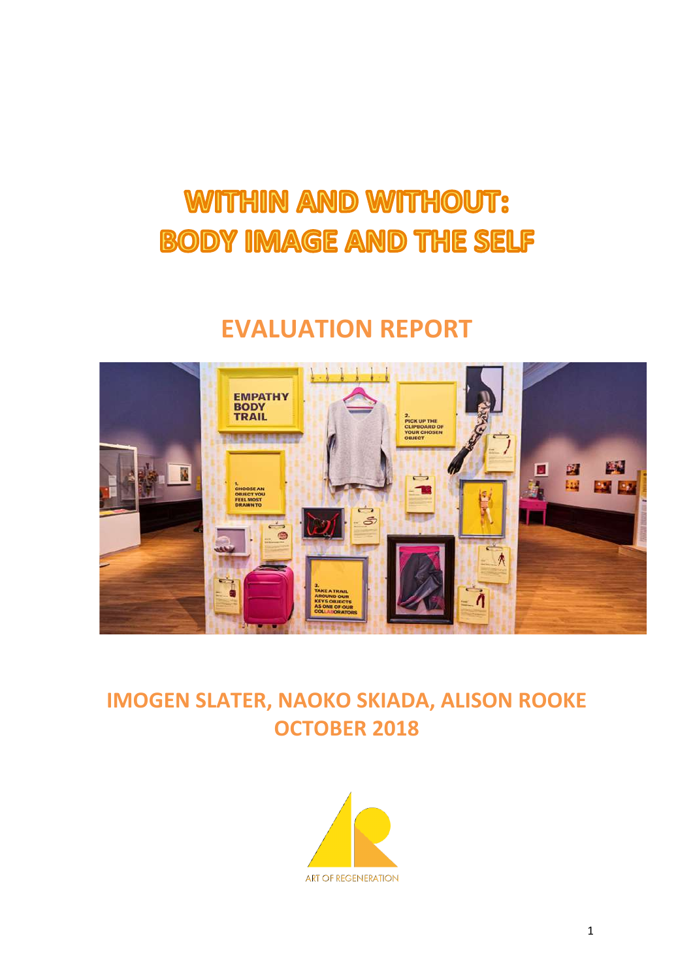# WITHIN AND WITHOUT: **BODY IMAGE AND THE SELF**

# **EVALUATION REPORT**



# **IMOGEN SLATER, NAOKO SKIADA, ALISON ROOKE OCTOBER 2018**

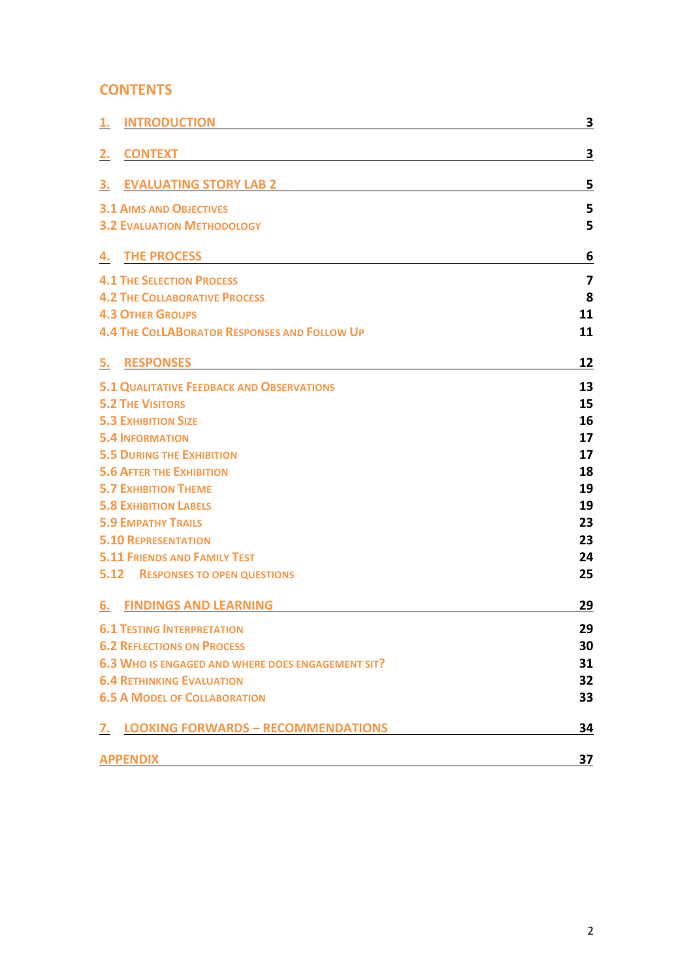#### **CONTENTS**

| <b>INTRODUCTION</b><br><u>1.</u>                    | 3  |
|-----------------------------------------------------|----|
| <b>CONTEXT</b><br>2.                                | 3  |
| <b>EVALUATING STORY LAB 2</b><br>З.                 | 5  |
| <b>3.1 AIMS AND OBJECTIVES</b>                      | 5  |
| <b>3.2 EVALUATION METHODOLOGY</b>                   | 5  |
|                                                     |    |
| <b>THE PROCESS</b><br>4.                            | 6  |
| <b>4.1 THE SELECTION PROCESS</b>                    | 7  |
| <b>4.2 THE COLLABORATIVE PROCESS</b>                | 8  |
| <b>4.3 OTHER GROUPS</b>                             | 11 |
| <b>4.4 THE COLLABORATOR RESPONSES AND FOLLOW UP</b> | 11 |
| <b>RESPONSES</b><br>5.                              | 12 |
| <b>5.1 QUALITATIVE FEEDBACK AND OBSERVATIONS</b>    | 13 |
| <b>5.2 THE VISITORS</b>                             | 15 |
| <b>5.3 EXHIBITION SIZE</b>                          | 16 |
| <b>5.4 INFORMATION</b>                              | 17 |
| <b>5.5 DURING THE EXHIBITION</b>                    | 17 |
| <b>5.6 AFTER THE EXHIBITION</b>                     | 18 |
| <b>5.7 EXHIBITION THEME</b>                         | 19 |
| <b>5.8 EXHIBITION LABELS</b>                        | 19 |
| <b>5.9 EMPATHY TRAILS</b>                           | 23 |
| <b>5.10 REPRESENTATION</b>                          | 23 |
| <b>5.11 FRIENDS AND FAMILY TEST</b>                 | 24 |
| <b>5.12 RESPONSES TO OPEN QUESTIONS</b>             | 25 |
| <b>FINDINGS AND LEARNING</b><br>6.                  | 29 |
| <b>6.1 TESTING INTERPRETATION</b>                   | 29 |
| <b>6.2 REFLECTIONS ON PROCESS</b>                   | 30 |
| 6.3 WHO IS ENGAGED AND WHERE DOES ENGAGEMENT SIT?   | 31 |
| <b>6.4 RETHINKING EVALUATION</b>                    | 32 |
| <b>6.5 A MODEL OF COLLABORATION</b>                 | 33 |
| <b>LOOKING FORWARDS - RECOMMENDATIONS</b><br>7.     | 34 |
| <b>APPENDIX</b>                                     | 37 |
|                                                     |    |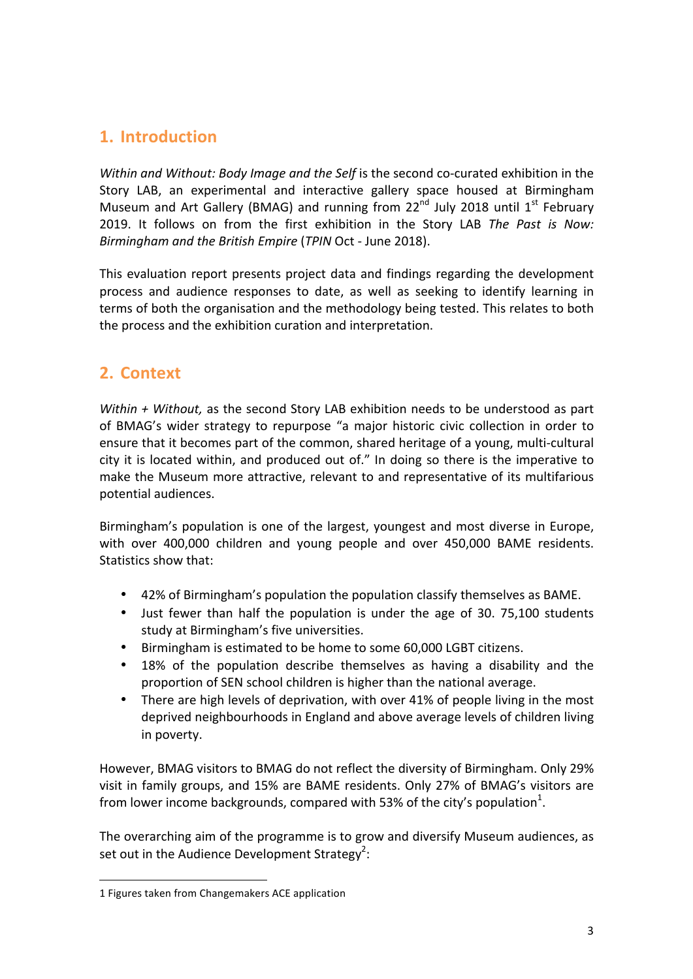### **1. Introduction**

*Within and Without: Body Image and the Self* is the second co-curated exhibition in the Story LAB, an experimental and interactive gallery space housed at Birmingham Museum and Art Gallery (BMAG) and running from  $22<sup>nd</sup>$  July 2018 until  $1<sup>st</sup>$  February 2019. It follows on from the first exhibition in the Story LAB The Past is Now: *Birmingham and the British Empire* (*TPIN* Oct - June 2018).

This evaluation report presents project data and findings regarding the development process and audience responses to date, as well as seeking to identify learning in terms of both the organisation and the methodology being tested. This relates to both the process and the exhibition curation and interpretation.

## **2. Context**

*Within* + *Without*, as the second Story LAB exhibition needs to be understood as part of BMAG's wider strategy to repurpose "a major historic civic collection in order to ensure that it becomes part of the common, shared heritage of a young, multi-cultural city it is located within, and produced out of." In doing so there is the imperative to make the Museum more attractive, relevant to and representative of its multifarious potential audiences.

Birmingham's population is one of the largest, youngest and most diverse in Europe, with over 400,000 children and young people and over 450,000 BAME residents. Statistics show that:

- 42% of Birmingham's population the population classify themselves as BAME.
- Just fewer than half the population is under the age of 30. 75,100 students study at Birmingham's five universities.
- Birmingham is estimated to be home to some 60,000 LGBT citizens.
- 18% of the population describe themselves as having a disability and the proportion of SEN school children is higher than the national average.
- There are high levels of deprivation, with over 41% of people living in the most deprived neighbourhoods in England and above average levels of children living in poverty.

However, BMAG visitors to BMAG do not reflect the diversity of Birmingham. Only 29% visit in family groups, and 15% are BAME residents. Only 27% of BMAG's visitors are from lower income backgrounds, compared with 53% of the city's population<sup>1</sup>.

The overarching aim of the programme is to grow and diversify Museum audiences, as set out in the Audience Development Strategy<sup>2</sup>:

 

<sup>1</sup> Figures taken from Changemakers ACE application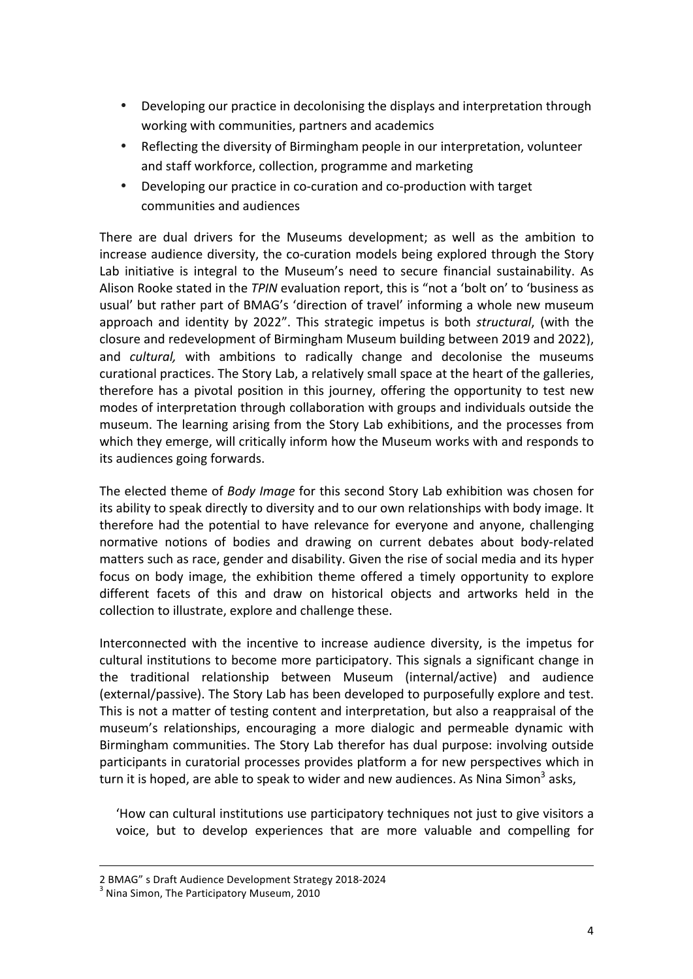- Developing our practice in decolonising the displays and interpretation through working with communities, partners and academics
- Reflecting the diversity of Birmingham people in our interpretation, volunteer and staff workforce, collection, programme and marketing
- Developing our practice in co-curation and co-production with target communities and audiences

There are dual drivers for the Museums development; as well as the ambition to increase audience diversity, the co-curation models being explored through the Story Lab initiative is integral to the Museum's need to secure financial sustainability. As Alison Rooke stated in the *TPIN* evaluation report, this is "not a 'bolt on' to 'business as usual' but rather part of BMAG's 'direction of travel' informing a whole new museum approach and identity by 2022". This strategic impetus is both *structural*, (with the closure and redevelopment of Birmingham Museum building between 2019 and 2022), and *cultural*, with ambitions to radically change and decolonise the museums curational practices. The Story Lab, a relatively small space at the heart of the galleries, therefore has a pivotal position in this journey, offering the opportunity to test new modes of interpretation through collaboration with groups and individuals outside the museum. The learning arising from the Story Lab exhibitions, and the processes from which they emerge, will critically inform how the Museum works with and responds to its audiences going forwards.

The elected theme of *Body Image* for this second Story Lab exhibition was chosen for its ability to speak directly to diversity and to our own relationships with body image. It therefore had the potential to have relevance for everyone and anyone, challenging normative notions of bodies and drawing on current debates about body-related matters such as race, gender and disability. Given the rise of social media and its hyper focus on body image, the exhibition theme offered a timely opportunity to explore different facets of this and draw on historical objects and artworks held in the collection to illustrate, explore and challenge these.

Interconnected with the incentive to increase audience diversity, is the impetus for cultural institutions to become more participatory. This signals a significant change in the traditional relationship between Museum (internal/active) and audience (external/passive). The Story Lab has been developed to purposefully explore and test. This is not a matter of testing content and interpretation, but also a reappraisal of the museum's relationships, encouraging a more dialogic and permeable dynamic with Birmingham communities. The Story Lab therefor has dual purpose: involving outside participants in curatorial processes provides platform a for new perspectives which in turn it is hoped, are able to speak to wider and new audiences. As Nina Simon<sup>3</sup> asks,

'How can cultural institutions use participatory techniques not just to give visitors a voice, but to develop experiences that are more valuable and compelling for

<u> 1989 - Andrea Santa Andrea Andrea Andrea Andrea Andrea Andrea Andrea Andrea Andrea Andrea Andrea Andrea Andr</u>

<sup>2</sup> BMAG" s Draft Audience Development Strategy 2018-2024  $^3$  Nina Simon, The Participatory Museum, 2010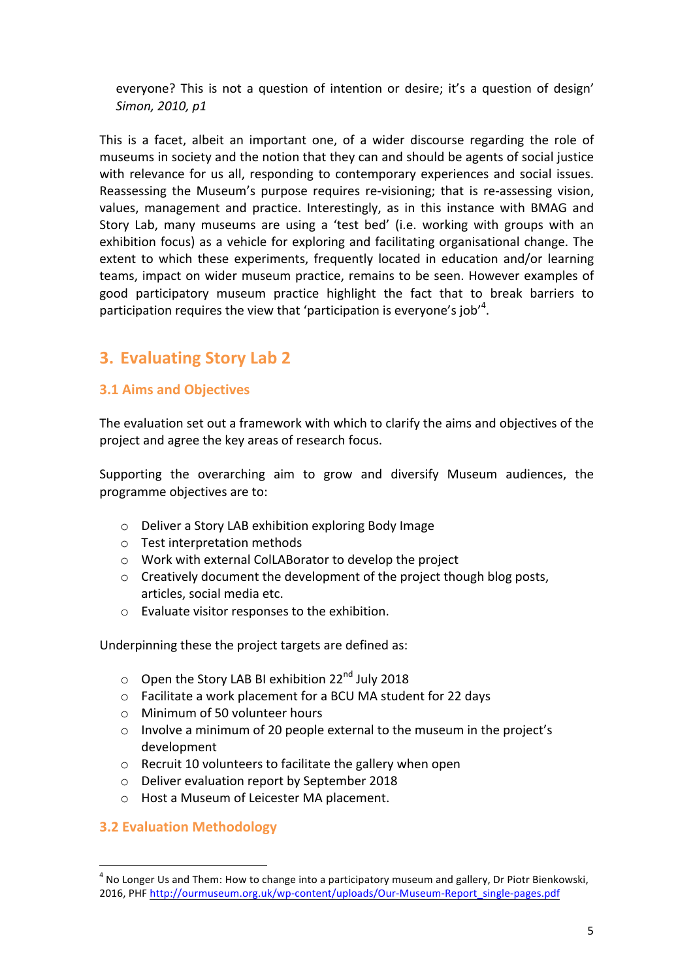everyone? This is not a question of intention or desire; it's a question of design' *Simon, 2010, p1* 

This is a facet, albeit an important one, of a wider discourse regarding the role of museums in society and the notion that they can and should be agents of social justice with relevance for us all, responding to contemporary experiences and social issues. Reassessing the Museum's purpose requires re-visioning; that is re-assessing vision, values, management and practice. Interestingly, as in this instance with BMAG and Story Lab, many museums are using a 'test bed' (i.e. working with groups with an exhibition focus) as a vehicle for exploring and facilitating organisational change. The extent to which these experiments, frequently located in education and/or learning teams, impact on wider museum practice, remains to be seen. However examples of good participatory museum practice highlight the fact that to break barriers to participation requires the view that 'participation is everyone's job'<sup>4</sup>.

## **3. Evaluating Story Lab 2**

#### **3.1 Aims and Objectives**

The evaluation set out a framework with which to clarify the aims and objectives of the project and agree the key areas of research focus.

Supporting the overarching aim to grow and diversify Museum audiences, the programme objectives are to:

- o Deliver a Story LAB exhibition exploring Body Image
- o Test interpretation methods
- o Work with external ColLABorator to develop the project
- o Creatively document the development of the project though blog posts, articles, social media etc.
- o Evaluate visitor responses to the exhibition.

Underpinning these the project targets are defined as:

- o Open the Story LAB BI exhibition 22<sup>nd</sup> July 2018
- o Facilitate a work placement for a BCU MA student for 22 days
- o Minimum of 50 volunteer hours
- o Involve a minimum of 20 people external to the museum in the project's development
- o Recruit 10 volunteers to facilitate the gallery when open
- o Deliver evaluation report by September 2018
- o Host a Museum of Leicester MA placement.

#### **3.2 Evaluation Methodology**

<u> Andreas Andreas Andreas Andreas Andreas Andreas Andreas Andreas Andreas Andreas Andreas Andreas Andreas Andreas</u>

 $4$  No Longer Us and Them: How to change into a participatory museum and gallery, Dr Piotr Bienkowski, 2016, PHF http://ourmuseum.org.uk/wp-content/uploads/Our-Museum-Report\_single-pages.pdf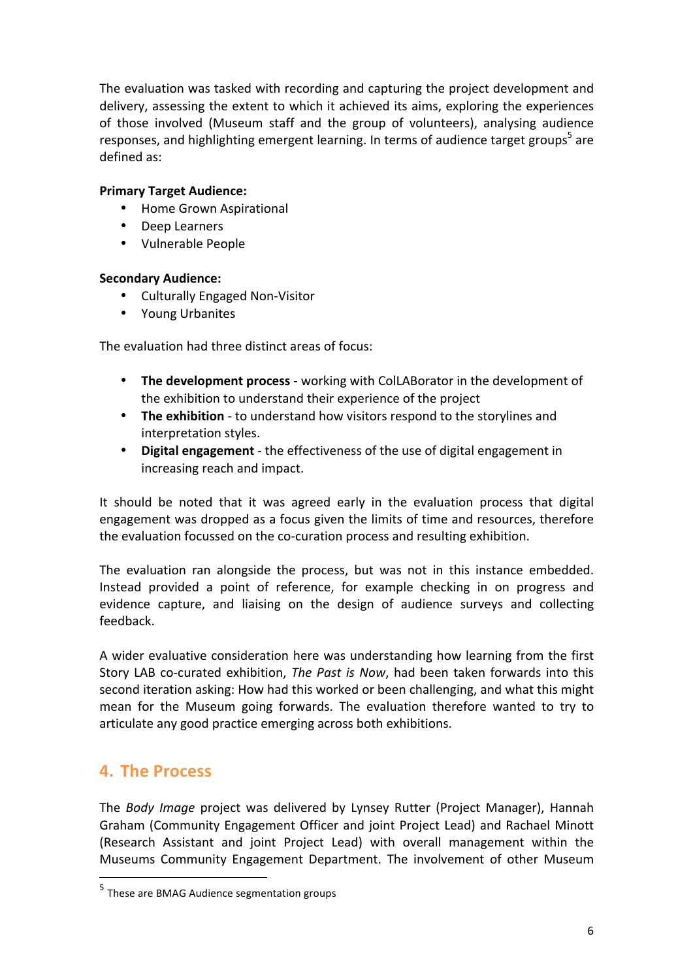The evaluation was tasked with recording and capturing the project development and delivery, assessing the extent to which it achieved its aims, exploring the experiences of those involved (Museum staff and the group of volunteers), analysing audience responses, and highlighting emergent learning. In terms of audience target groups<sup>5</sup> are defined as:

#### **Primary Target Audience:**

- Home Grown Aspirational
- Deep Learners
- Vulnerable People

#### **Secondary Audience:**

- Culturally Engaged Non-Visitor
- Young Urbanites

The evaluation had three distinct areas of focus:

- The **development process** working with ColLABorator in the development of the exhibition to understand their experience of the project
- The exhibition to understand how visitors respond to the storylines and interpretation styles.
- Digital engagement the effectiveness of the use of digital engagement in increasing reach and impact.

It should be noted that it was agreed early in the evaluation process that digital engagement was dropped as a focus given the limits of time and resources, therefore the evaluation focussed on the co-curation process and resulting exhibition.

The evaluation ran alongside the process, but was not in this instance embedded. Instead provided a point of reference, for example checking in on progress and evidence capture, and liaising on the design of audience surveys and collecting feedback. 

A wider evaluative consideration here was understanding how learning from the first Story LAB co-curated exhibition, *The Past is Now*, had been taken forwards into this second iteration asking: How had this worked or been challenging, and what this might mean for the Museum going forwards. The evaluation therefore wanted to try to articulate any good practice emerging across both exhibitions.

## **4. The Process**

The *Body Image* project was delivered by Lynsey Rutter (Project Manager), Hannah Graham (Community Engagement Officer and joint Project Lead) and Rachael Minott (Research Assistant and joint Project Lead) with overall management within the Museums Community Engagement Department. The involvement of other Museum

<u> Andreas Andreas Andreas Andreas Andreas Andreas Andreas Andreas Andreas Andreas Andreas Andreas Andreas Andreas</u>

 $<sup>5</sup>$  These are BMAG Audience segmentation groups</sup>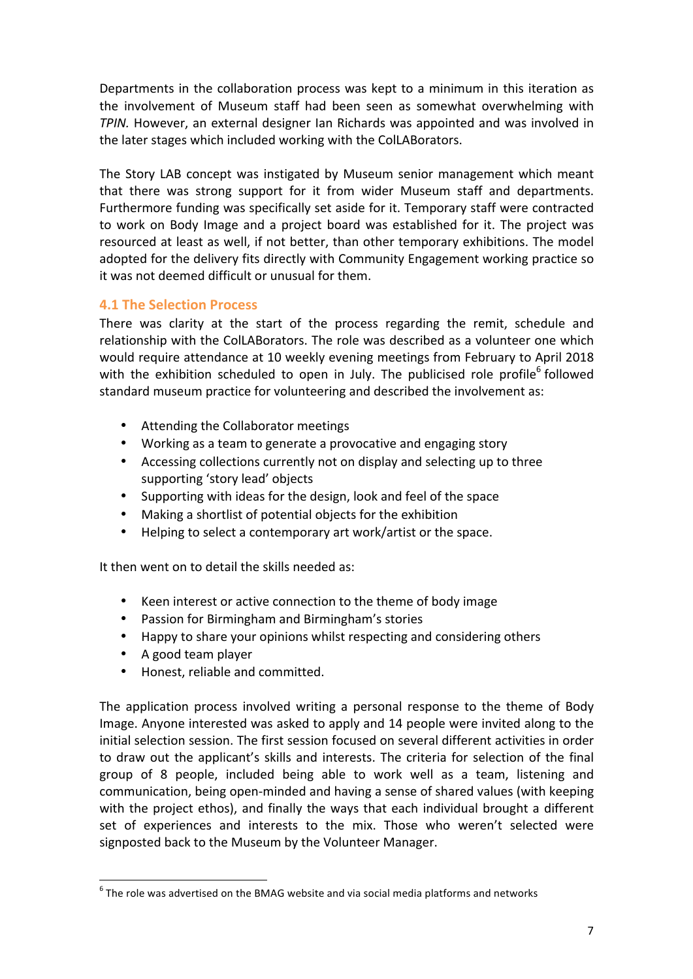Departments in the collaboration process was kept to a minimum in this iteration as the involvement of Museum staff had been seen as somewhat overwhelming with *TPIN*. However, an external designer Ian Richards was appointed and was involved in the later stages which included working with the ColLABorators.

The Story LAB concept was instigated by Museum senior management which meant that there was strong support for it from wider Museum staff and departments. Furthermore funding was specifically set aside for it. Temporary staff were contracted to work on Body Image and a project board was established for it. The project was resourced at least as well, if not better, than other temporary exhibitions. The model adopted for the delivery fits directly with Community Engagement working practice so it was not deemed difficult or unusual for them.

#### **4.1 The Selection Process**

There was clarity at the start of the process regarding the remit, schedule and relationship with the ColLABorators. The role was described as a volunteer one which would require attendance at 10 weekly evening meetings from February to April 2018 with the exhibition scheduled to open in July. The publicised role profile<sup>6</sup> followed standard museum practice for volunteering and described the involvement as:

- Attending the Collaborator meetings
- Working as a team to generate a provocative and engaging story
- Accessing collections currently not on display and selecting up to three supporting 'story lead' objects
- Supporting with ideas for the design, look and feel of the space
- Making a shortlist of potential objects for the exhibition
- $\bullet$  Helping to select a contemporary art work/artist or the space.

It then went on to detail the skills needed as:

- Keen interest or active connection to the theme of body image
- Passion for Birmingham and Birmingham's stories
- Happy to share your opinions whilst respecting and considering others
- A good team player

 

• Honest, reliable and committed.

The application process involved writing a personal response to the theme of Body Image. Anyone interested was asked to apply and 14 people were invited along to the initial selection session. The first session focused on several different activities in order to draw out the applicant's skills and interests. The criteria for selection of the final group of 8 people, included being able to work well as a team, listening and communication, being open-minded and having a sense of shared values (with keeping with the project ethos), and finally the ways that each individual brought a different set of experiences and interests to the mix. Those who weren't selected were signposted back to the Museum by the Volunteer Manager.

 $6$  The role was advertised on the BMAG website and via social media platforms and networks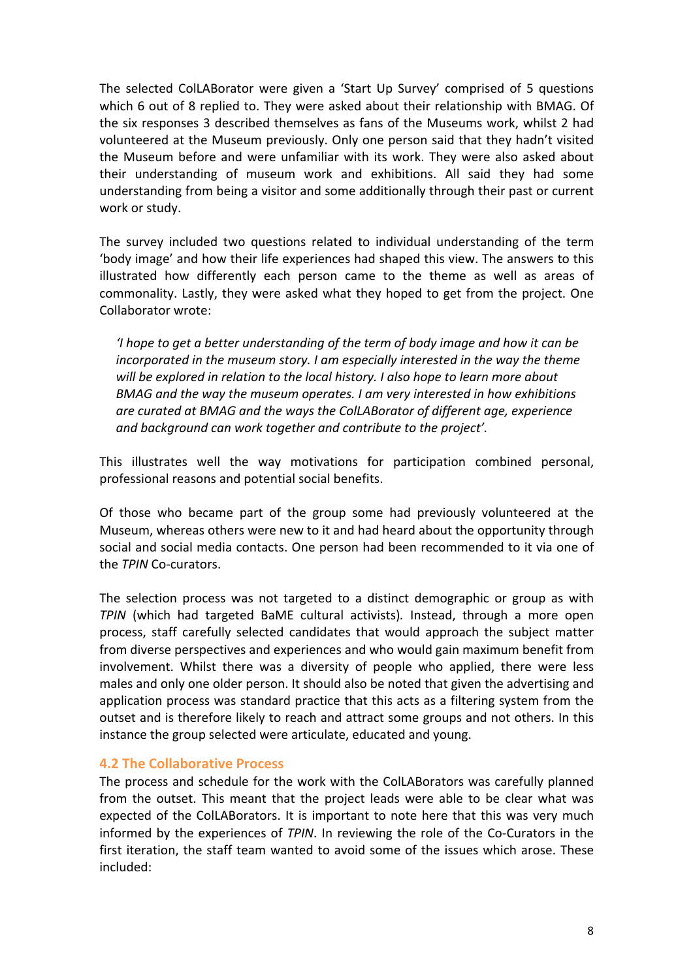The selected ColLABorator were given a 'Start Up Survey' comprised of 5 questions which 6 out of 8 replied to. They were asked about their relationship with BMAG. Of the six responses 3 described themselves as fans of the Museums work, whilst 2 had volunteered at the Museum previously. Only one person said that they hadn't visited the Museum before and were unfamiliar with its work. They were also asked about their understanding of museum work and exhibitions. All said they had some understanding from being a visitor and some additionally through their past or current work or study.

The survey included two questions related to individual understanding of the term 'body image' and how their life experiences had shaped this view. The answers to this illustrated how differently each person came to the theme as well as areas of commonality. Lastly, they were asked what they hoped to get from the project. One Collaborator wrote:

*'I* hope to get a better understanding of the term of body image and how it can be *incorporated in the museum story.* I am especially interested in the way the theme will be explored in relation to the local history. I also hope to learn more about BMAG and the way the museum operates. I am very interested in how exhibitions *are curated at BMAG and the ways the ColLABorator of different age, experience* and background can work together and contribute to the project'.

This illustrates well the way motivations for participation combined personal, professional reasons and potential social benefits.

Of those who became part of the group some had previously volunteered at the Museum, whereas others were new to it and had heard about the opportunity through social and social media contacts. One person had been recommended to it via one of the *TPIN* Co-curators.

The selection process was not targeted to a distinct demographic or group as with **TPIN** (which had targeted BaME cultural activists). Instead, through a more open process, staff carefully selected candidates that would approach the subject matter from diverse perspectives and experiences and who would gain maximum benefit from involvement. Whilst there was a diversity of people who applied, there were less males and only one older person. It should also be noted that given the advertising and application process was standard practice that this acts as a filtering system from the outset and is therefore likely to reach and attract some groups and not others. In this instance the group selected were articulate, educated and young.

#### **4.2 The Collaborative Process**

The process and schedule for the work with the ColLABorators was carefully planned from the outset. This meant that the project leads were able to be clear what was expected of the ColLABorators. It is important to note here that this was very much informed by the experiences of *TPIN*. In reviewing the role of the Co-Curators in the first iteration, the staff team wanted to avoid some of the issues which arose. These included: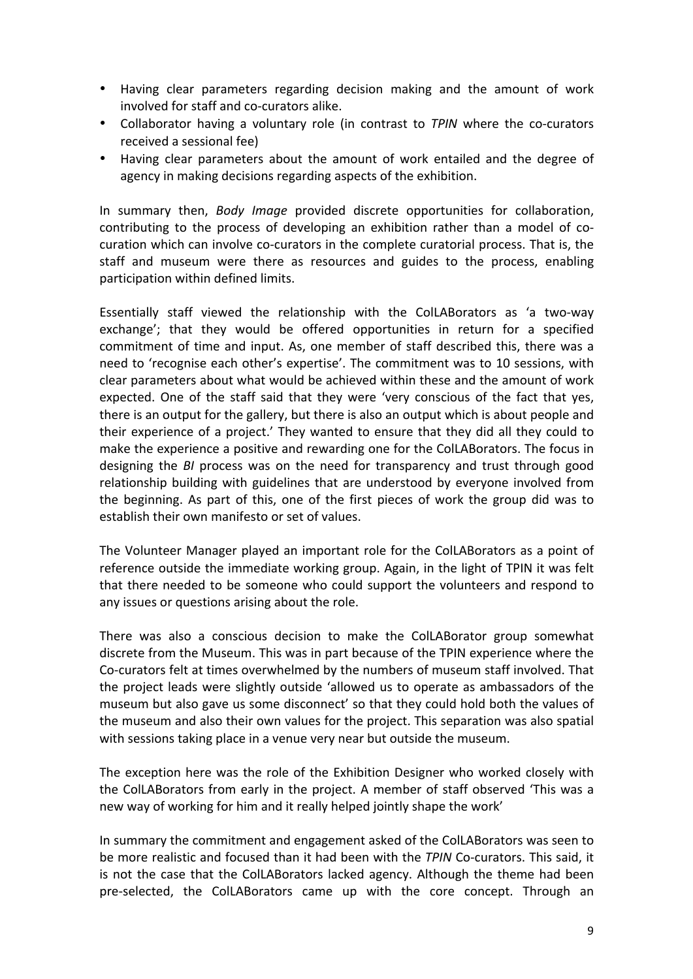- Having clear parameters regarding decision making and the amount of work involved for staff and co-curators alike.
- Collaborator having a voluntary role (in contrast to *TPIN* where the co-curators received a sessional fee)
- Having clear parameters about the amount of work entailed and the degree of agency in making decisions regarding aspects of the exhibition.

In summary then, *Body Image* provided discrete opportunities for collaboration, contributing to the process of developing an exhibition rather than a model of cocuration which can involve co-curators in the complete curatorial process. That is, the staff and museum were there as resources and guides to the process, enabling participation within defined limits.

Essentially staff viewed the relationship with the ColLABorators as 'a two-way exchange'; that they would be offered opportunities in return for a specified commitment of time and input. As, one member of staff described this, there was a need to 'recognise each other's expertise'. The commitment was to 10 sessions, with clear parameters about what would be achieved within these and the amount of work expected. One of the staff said that they were 'very conscious of the fact that yes, there is an output for the gallery, but there is also an output which is about people and their experience of a project.' They wanted to ensure that they did all they could to make the experience a positive and rewarding one for the ColLABorators. The focus in designing the *BI* process was on the need for transparency and trust through good relationship building with guidelines that are understood by everyone involved from the beginning. As part of this, one of the first pieces of work the group did was to establish their own manifesto or set of values.

The Volunteer Manager played an important role for the ColLABorators as a point of reference outside the immediate working group. Again, in the light of TPIN it was felt that there needed to be someone who could support the volunteers and respond to any issues or questions arising about the role.

There was also a conscious decision to make the ColLABorator group somewhat discrete from the Museum. This was in part because of the TPIN experience where the Co-curators felt at times overwhelmed by the numbers of museum staff involved. That the project leads were slightly outside 'allowed us to operate as ambassadors of the museum but also gave us some disconnect' so that they could hold both the values of the museum and also their own values for the project. This separation was also spatial with sessions taking place in a venue very near but outside the museum.

The exception here was the role of the Exhibition Designer who worked closely with the ColLABorators from early in the project. A member of staff observed 'This was a new way of working for him and it really helped jointly shape the work'

In summary the commitment and engagement asked of the ColLABorators was seen to be more realistic and focused than it had been with the *TPIN* Co-curators. This said, it is not the case that the ColLABorators lacked agency. Although the theme had been pre-selected, the ColLABorators came up with the core concept. Through an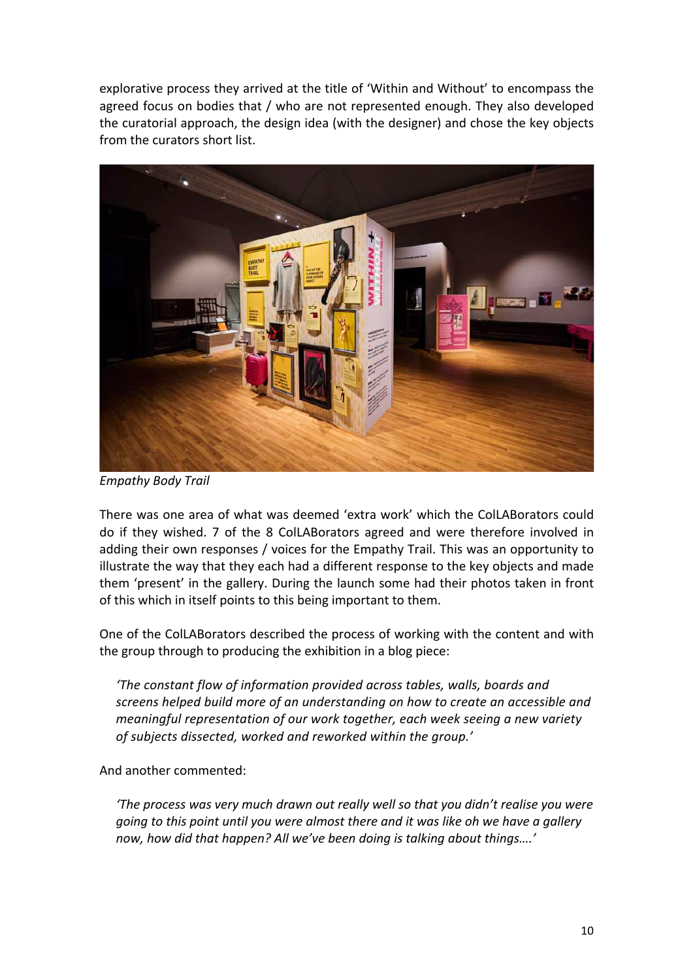explorative process they arrived at the title of 'Within and Without' to encompass the agreed focus on bodies that  $/$  who are not represented enough. They also developed the curatorial approach, the design idea (with the designer) and chose the key objects from the curators short list.



*Empathy Body Trail*

There was one area of what was deemed 'extra work' which the ColLABorators could do if they wished. 7 of the 8 ColLABorators agreed and were therefore involved in adding their own responses / voices for the Empathy Trail. This was an opportunity to illustrate the way that they each had a different response to the key objects and made them 'present' in the gallery. During the launch some had their photos taken in front of this which in itself points to this being important to them.

One of the ColLABorators described the process of working with the content and with the group through to producing the exhibition in a blog piece:

*'The constant flow of information provided across tables, walls, boards and screens helped build more of an understanding on how to create an accessible and meaningful representation of our work together, each week seeing a new variety* of subjects dissected, worked and reworked within the group.'

And another commented:

*'The process was very much drawn out really well so that you didn't realise you were going* to this point until you were almost there and it was like oh we have a gallery now, how did that happen? All we've been doing is talking about things....'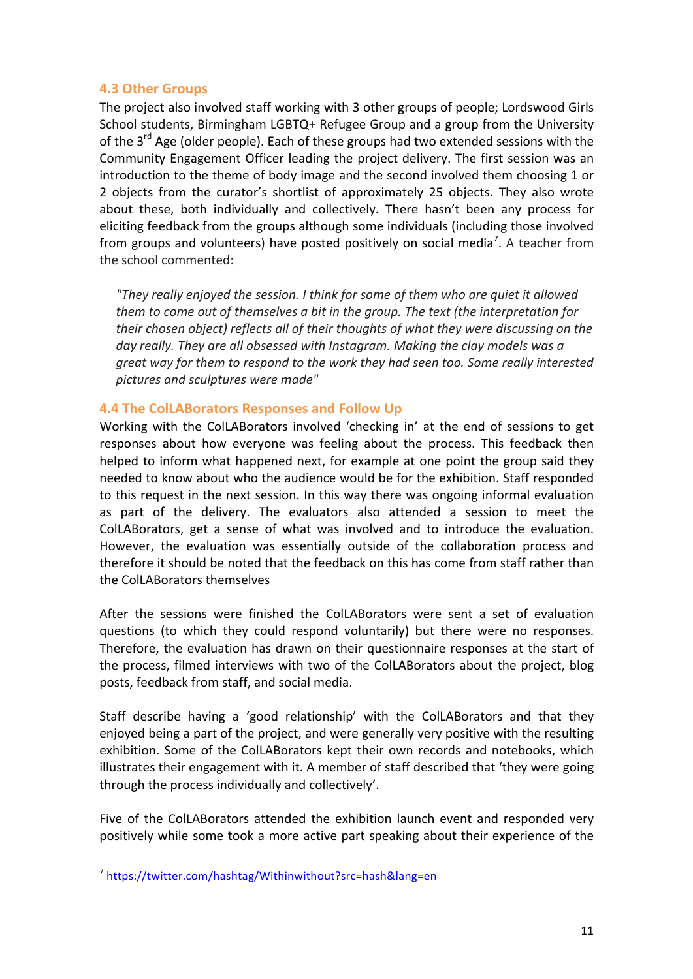#### **4.3 Other Groups**

The project also involved staff working with 3 other groups of people; Lordswood Girls School students, Birmingham LGBTQ+ Refugee Group and a group from the University of the  $3^{rd}$  Age (older people). Each of these groups had two extended sessions with the Community Engagement Officer leading the project delivery. The first session was an introduction to the theme of body image and the second involved them choosing 1 or 2 objects from the curator's shortlist of approximately 25 objects. They also wrote about these, both individually and collectively. There hasn't been any process for eliciting feedback from the groups although some individuals (including those involved from groups and volunteers) have posted positively on social media<sup>7</sup>. A teacher from the school commented:

*"They really enjoyed the session. I think for some of them who are quiet it allowed them to come out of themselves a bit in the group. The text (the interpretation for their chosen object) reflects all of their thoughts of what they were discussing on the* day really. They are all obsessed with Instagram. Making the clay models was a *great* way for them to respond to the work they had seen too. Some really interested *pictures and sculptures were made"*

#### **4.4 The ColLABorators Responses and Follow Up**

Working with the ColLABorators involved 'checking in' at the end of sessions to get responses about how everyone was feeling about the process. This feedback then helped to inform what happened next, for example at one point the group said they needed to know about who the audience would be for the exhibition. Staff responded to this request in the next session. In this way there was ongoing informal evaluation as part of the delivery. The evaluators also attended a session to meet the ColLABorators, get a sense of what was involved and to introduce the evaluation. However, the evaluation was essentially outside of the collaboration process and therefore it should be noted that the feedback on this has come from staff rather than the ColLABorators themselves

After the sessions were finished the ColLABorators were sent a set of evaluation questions (to which they could respond voluntarily) but there were no responses. Therefore, the evaluation has drawn on their questionnaire responses at the start of the process, filmed interviews with two of the ColLABorators about the project, blog posts, feedback from staff, and social media.

Staff describe having a 'good relationship' with the ColLABorators and that they enjoyed being a part of the project, and were generally very positive with the resulting exhibition. Some of the ColLABorators kept their own records and notebooks, which illustrates their engagement with it. A member of staff described that 'they were going through the process individually and collectively'.

Five of the ColLABorators attended the exhibition launch event and responded very positively while some took a more active part speaking about their experience of the

<u> Andreas Andreas Andreas Andreas Andreas Andreas Andreas Andreas Andreas Andreas Andreas Andreas Andreas Andreas</u>

<sup>7</sup> https://twitter.com/hashtag/Withinwithout?src=hash&lang=en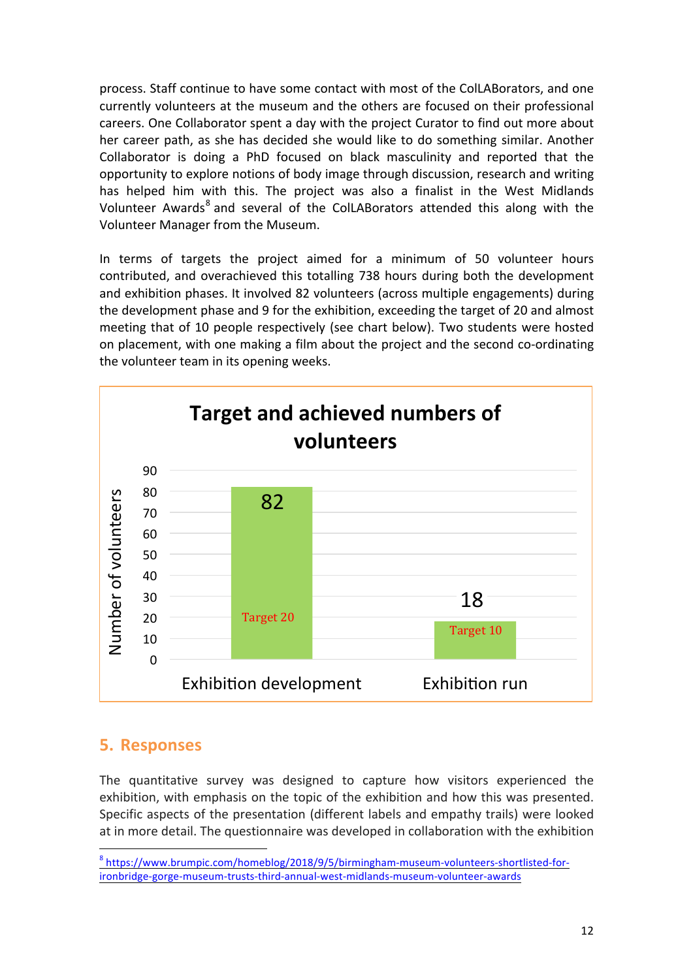process. Staff continue to have some contact with most of the ColLABorators, and one currently volunteers at the museum and the others are focused on their professional careers. One Collaborator spent a day with the project Curator to find out more about her career path, as she has decided she would like to do something similar. Another Collaborator is doing a PhD focused on black masculinity and reported that the opportunity to explore notions of body image through discussion, research and writing has helped him with this. The project was also a finalist in the West Midlands Volunteer Awards<sup>8</sup> and several of the ColLABorators attended this along with the Volunteer Manager from the Museum.

In terms of targets the project aimed for a minimum of 50 volunteer hours contributed, and overachieved this totalling 738 hours during both the development and exhibition phases. It involved 82 volunteers (across multiple engagements) during the development phase and 9 for the exhibition, exceeding the target of 20 and almost meeting that of 10 people respectively (see chart below). Two students were hosted on placement, with one making a film about the project and the second co-ordinating the volunteer team in its opening weeks.



### **5. Responses**

<u> Andreas Andreas Andreas Andreas Andreas Andreas Andreas Andreas Andreas Andreas Andreas Andreas Andreas Andreas</u>

The quantitative survey was designed to capture how visitors experienced the exhibition, with emphasis on the topic of the exhibition and how this was presented. Specific aspects of the presentation (different labels and empathy trails) were looked at in more detail. The questionnaire was developed in collaboration with the exhibition

<sup>8</sup> https://www.brumpic.com/homeblog/2018/9/5/birmingham-museum-volunteers-shortlisted-forironbridge-gorge-museum-trusts-third-annual-west-midlands-museum-volunteer-awards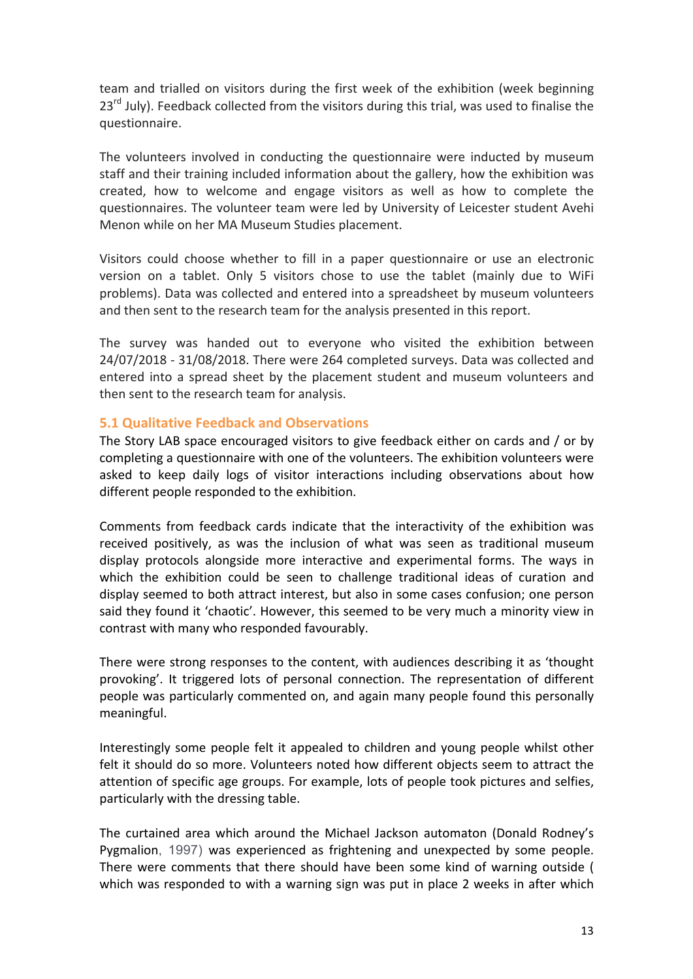team and trialled on visitors during the first week of the exhibition (week beginning  $23<sup>rd</sup>$  July). Feedback collected from the visitors during this trial, was used to finalise the questionnaire. 

The volunteers involved in conducting the questionnaire were inducted by museum staff and their training included information about the gallery, how the exhibition was created, how to welcome and engage visitors as well as how to complete the questionnaires. The volunteer team were led by University of Leicester student Avehi Menon while on her MA Museum Studies placement.

Visitors could choose whether to fill in a paper questionnaire or use an electronic version on a tablet. Only 5 visitors chose to use the tablet (mainly due to WiFi problems). Data was collected and entered into a spreadsheet by museum volunteers and then sent to the research team for the analysis presented in this report.

The survey was handed out to everyone who visited the exhibition between 24/07/2018 - 31/08/2018. There were 264 completed surveys. Data was collected and entered into a spread sheet by the placement student and museum volunteers and then sent to the research team for analysis.

#### **5.1 Qualitative Feedback and Observations**

The Story LAB space encouraged visitors to give feedback either on cards and / or by completing a questionnaire with one of the volunteers. The exhibition volunteers were asked to keep daily logs of visitor interactions including observations about how different people responded to the exhibition.

Comments from feedback cards indicate that the interactivity of the exhibition was received positively, as was the inclusion of what was seen as traditional museum display protocols alongside more interactive and experimental forms. The ways in which the exhibition could be seen to challenge traditional ideas of curation and display seemed to both attract interest, but also in some cases confusion; one person said they found it 'chaotic'. However, this seemed to be very much a minority view in contrast with many who responded favourably.

There were strong responses to the content, with audiences describing it as 'thought provoking'. It triggered lots of personal connection. The representation of different people was particularly commented on, and again many people found this personally meaningful. 

Interestingly some people felt it appealed to children and young people whilst other felt it should do so more. Volunteers noted how different objects seem to attract the attention of specific age groups. For example, lots of people took pictures and selfies, particularly with the dressing table.

The curtained area which around the Michael Jackson automaton (Donald Rodney's Pygmalion, 1997) was experienced as frightening and unexpected by some people. There were comments that there should have been some kind of warning outside ( which was responded to with a warning sign was put in place 2 weeks in after which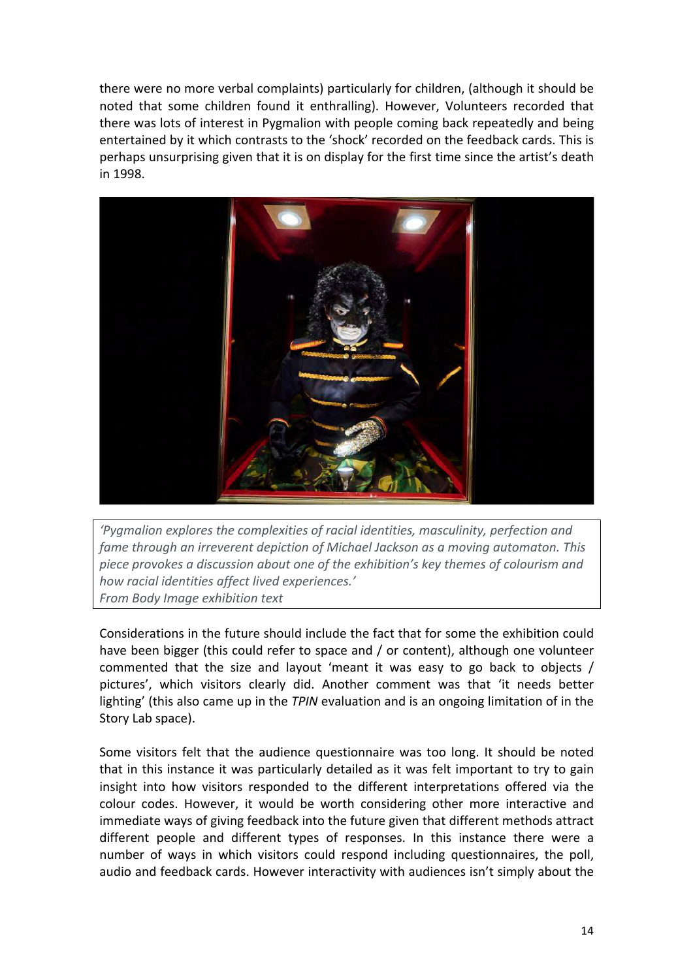there were no more verbal complaints) particularly for children, (although it should be noted that some children found it enthralling). However, Volunteers recorded that there was lots of interest in Pygmalion with people coming back repeatedly and being entertained by it which contrasts to the 'shock' recorded on the feedback cards. This is perhaps unsurprising given that it is on display for the first time since the artist's death in 1998.



'Pygmalion explores the complexities of racial identities, masculinity, perfection and *fame through an irreverent depiction of Michael Jackson as a moving automaton. This* piece provokes a discussion about one of the exhibition's key themes of colourism and *how racial identities affect lived experiences.' From Body Image exhibition text* 

Considerations in the future should include the fact that for some the exhibition could have been bigger (this could refer to space and / or content), although one volunteer commented that the size and layout 'meant it was easy to go back to objects / pictures', which visitors clearly did. Another comment was that 'it needs better lighting' (this also came up in the *TPIN* evaluation and is an ongoing limitation of in the Story Lab space).

Some visitors felt that the audience questionnaire was too long. It should be noted that in this instance it was particularly detailed as it was felt important to try to gain insight into how visitors responded to the different interpretations offered via the colour codes. However, it would be worth considering other more interactive and immediate ways of giving feedback into the future given that different methods attract different people and different types of responses. In this instance there were a number of ways in which visitors could respond including questionnaires, the poll, audio and feedback cards. However interactivity with audiences isn't simply about the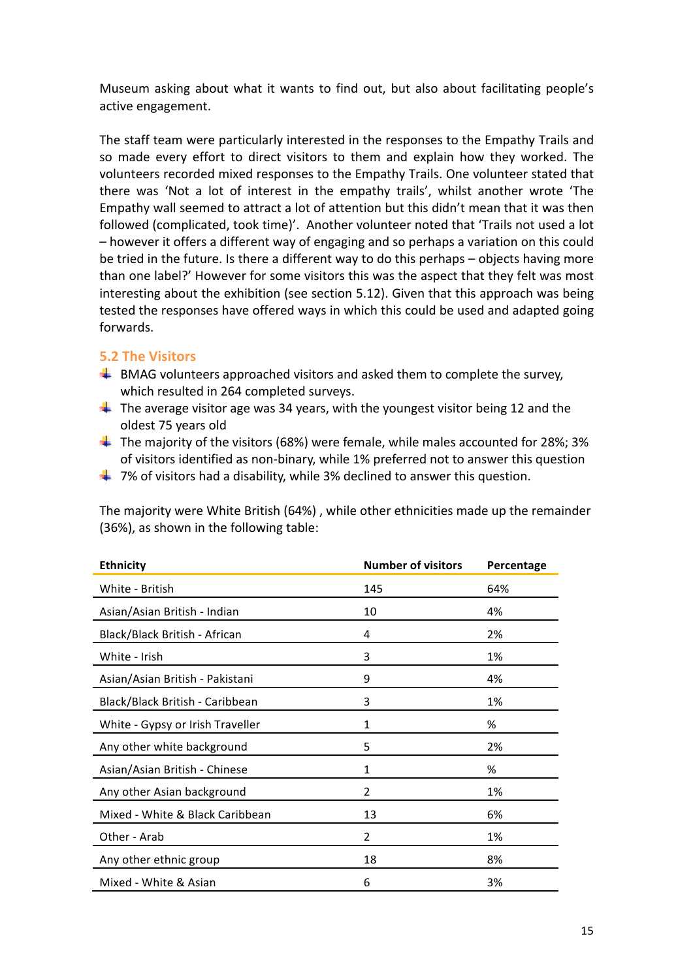Museum asking about what it wants to find out, but also about facilitating people's active engagement.

The staff team were particularly interested in the responses to the Empathy Trails and so made every effort to direct visitors to them and explain how they worked. The volunteers recorded mixed responses to the Empathy Trails. One volunteer stated that there was 'Not a lot of interest in the empathy trails', whilst another wrote 'The Empathy wall seemed to attract a lot of attention but this didn't mean that it was then followed (complicated, took time)'. Another volunteer noted that 'Trails not used a lot - however it offers a different way of engaging and so perhaps a variation on this could be tried in the future. Is there a different way to do this perhaps – objects having more than one label?' However for some visitors this was the aspect that they felt was most interesting about the exhibition (see section  $5.12$ ). Given that this approach was being tested the responses have offered ways in which this could be used and adapted going forwards.

#### **5.2 The Visitors**

- $\ddotplus$  BMAG volunteers approached visitors and asked them to complete the survey, which resulted in 264 completed surveys.
- $\ddot{+}$  The average visitor age was 34 years, with the youngest visitor being 12 and the oldest 75 years old
- **The majority of the visitors (68%) were female, while males accounted for 28%; 3%** of visitors identified as non-binary, while 1% preferred not to answer this question
- $\ddotplus$  7% of visitors had a disability, while 3% declined to answer this question.

The majority were White British (64%), while other ethnicities made up the remainder (36%), as shown in the following table:

| <b>Ethnicity</b>                 | <b>Number of visitors</b> | Percentage |
|----------------------------------|---------------------------|------------|
| White - British                  | 145                       | 64%        |
| Asian/Asian British - Indian     | 10                        | 4%         |
| Black/Black British - African    | 4                         | 2%         |
| White - Irish                    | 3                         | 1%         |
| Asian/Asian British - Pakistani  | 9                         | 4%         |
| Black/Black British - Caribbean  | 3                         | 1%         |
| White - Gypsy or Irish Traveller | 1                         | %          |
| Any other white background       | 5                         | 2%         |
| Asian/Asian British - Chinese    | 1                         | %          |
| Any other Asian background       | 2                         | 1%         |
| Mixed - White & Black Caribbean  | 13                        | 6%         |
| Other - Arab                     | 2                         | 1%         |
| Any other ethnic group           | 18                        | 8%         |
| Mixed - White & Asian            | 6                         | 3%         |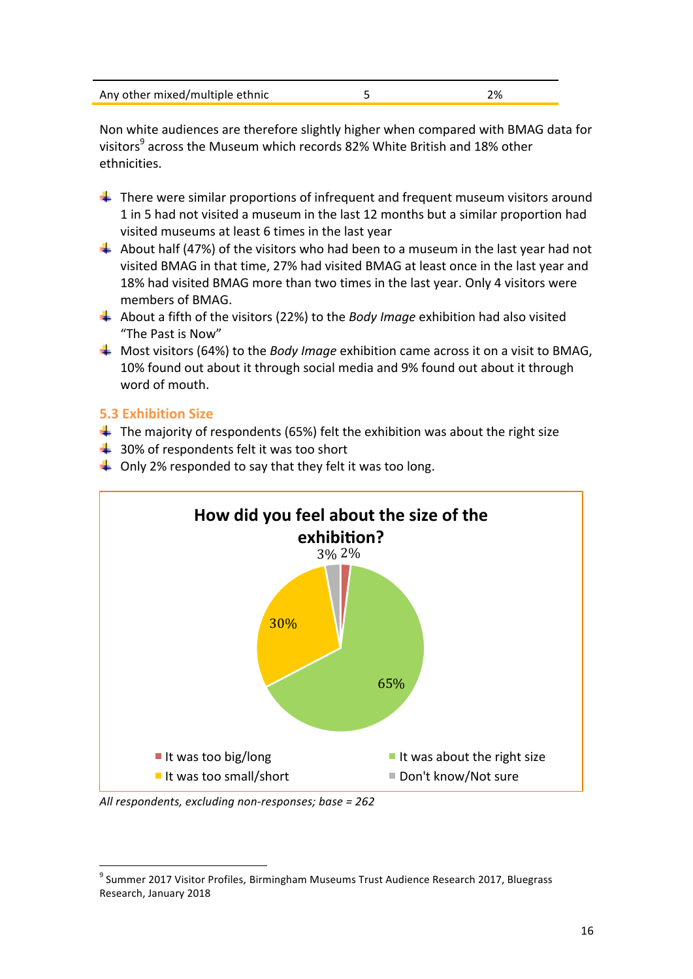| Any other mixed/multiple ethnic |  |
|---------------------------------|--|
|                                 |  |

Non white audiences are therefore slightly higher when compared with BMAG data for visitors<sup>9</sup> across the Museum which records 82% White British and 18% other ethnicities. 

- **There** were similar proportions of infrequent and frequent museum visitors around 1 in 5 had not visited a museum in the last 12 months but a similar proportion had visited museums at least 6 times in the last year
- $\ddot{+}$  About half (47%) of the visitors who had been to a museum in the last year had not visited BMAG in that time, 27% had visited BMAG at least once in the last year and 18% had visited BMAG more than two times in the last year. Only 4 visitors were members of BMAG.
- $\downarrow$  About a fifth of the visitors (22%) to the *Body Image* exhibition had also visited "The Past is Now"
- **4** Most visitors (64%) to the *Body Image* exhibition came across it on a visit to BMAG, 10% found out about it through social media and 9% found out about it through word of mouth.

#### **5.3 Exhibition Size**

- $\ddot{+}$  The majority of respondents (65%) felt the exhibition was about the right size
- $\ddotplus$  30% of respondents felt it was too short
- $\downarrow$  Only 2% responded to say that they felt it was too long.



All respondents, excluding non-responses; base = 262

<u> Andreas Andreas Andreas Andreas Andreas Andreas Andreas Andreas Andreas Andreas Andreas Andreas Andreas Andreas</u>

 $9$  Summer 2017 Visitor Profiles, Birmingham Museums Trust Audience Research 2017, Bluegrass Research, January 2018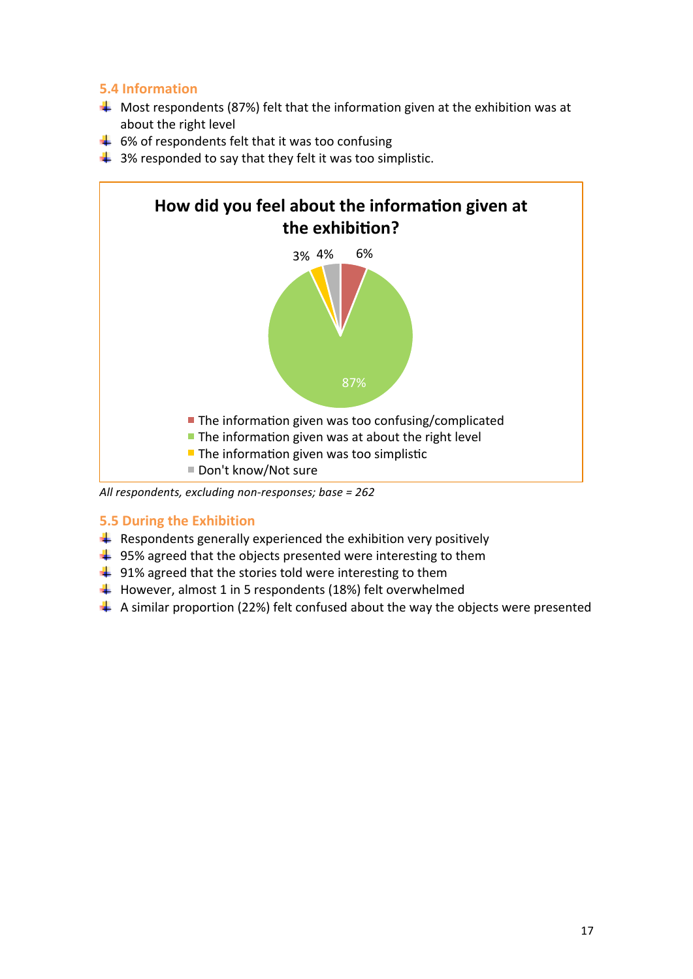#### **5.4 Information**

- $\downarrow$  Most respondents (87%) felt that the information given at the exhibition was at about the right level
- $\overline{+}$  6% of respondents felt that it was too confusing
- $\downarrow$  3% responded to say that they felt it was too simplistic.



All respondents, excluding non-responses; base = 262

#### **5.5 During the Exhibition**

- $\ddot{+}$  Respondents generally experienced the exhibition very positively
- $\frac{1}{2}$  95% agreed that the objects presented were interesting to them
- $\frac{1}{2}$  91% agreed that the stories told were interesting to them
- $\downarrow$  However, almost 1 in 5 respondents (18%) felt overwhelmed
- $\downarrow$  A similar proportion (22%) felt confused about the way the objects were presented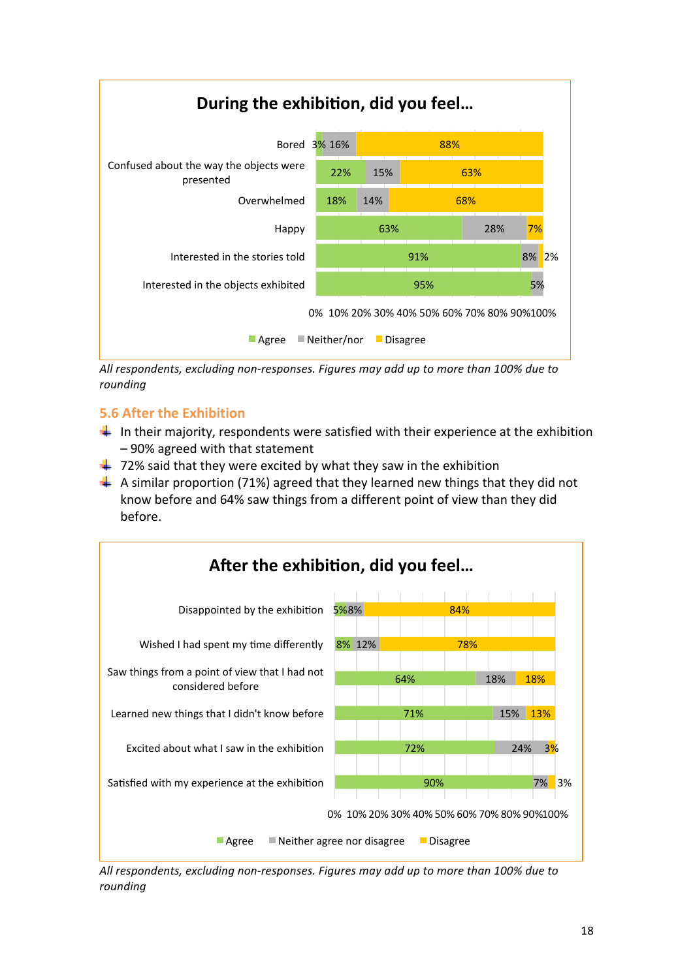

All respondents, excluding non-responses. Figures may add up to more than 100% due to *rounding*

#### **5.6 After the Exhibition**

- $\downarrow$  In their majority, respondents were satisfied with their experience at the exhibition – 90% agreed with that statement
- $\downarrow$  72% said that they were excited by what they saw in the exhibition
- $\perp$  A similar proportion (71%) agreed that they learned new things that they did not know before and 64% saw things from a different point of view than they did before.



All respondents, excluding non-responses. Figures may add up to more than 100% due to *rounding*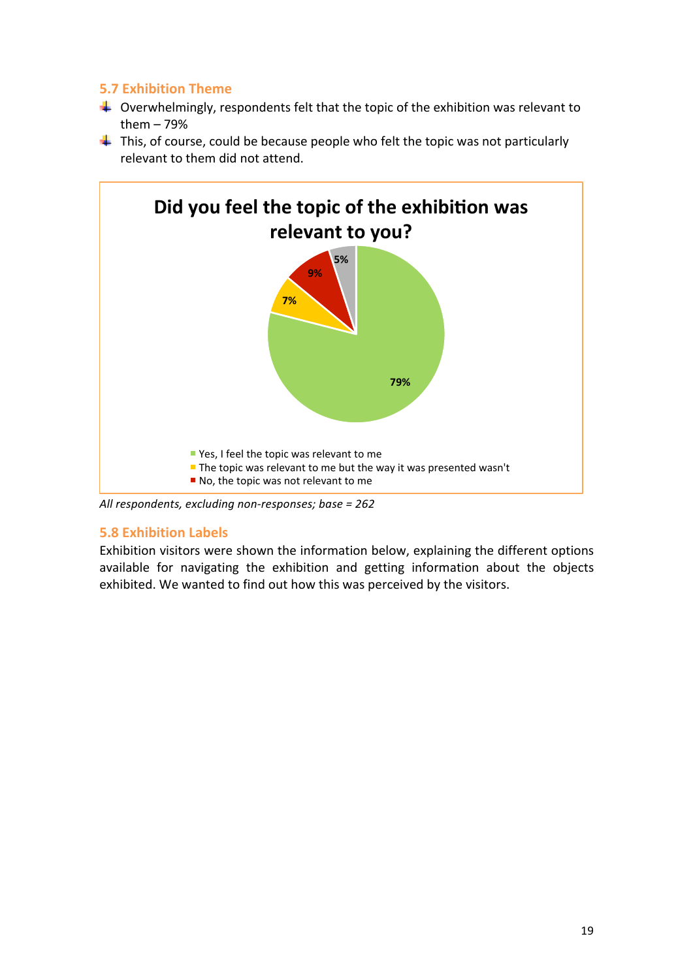#### **5.7 Exhibition Theme**

- $\downarrow$  Overwhelmingly, respondents felt that the topic of the exhibition was relevant to them  $-79%$
- $\downarrow$  This, of course, could be because people who felt the topic was not particularly relevant to them did not attend.



All respondents, excluding non-responses; base = 262

#### **5.8 Exhibition Labels**

Exhibition visitors were shown the information below, explaining the different options available for navigating the exhibition and getting information about the objects exhibited. We wanted to find out how this was perceived by the visitors.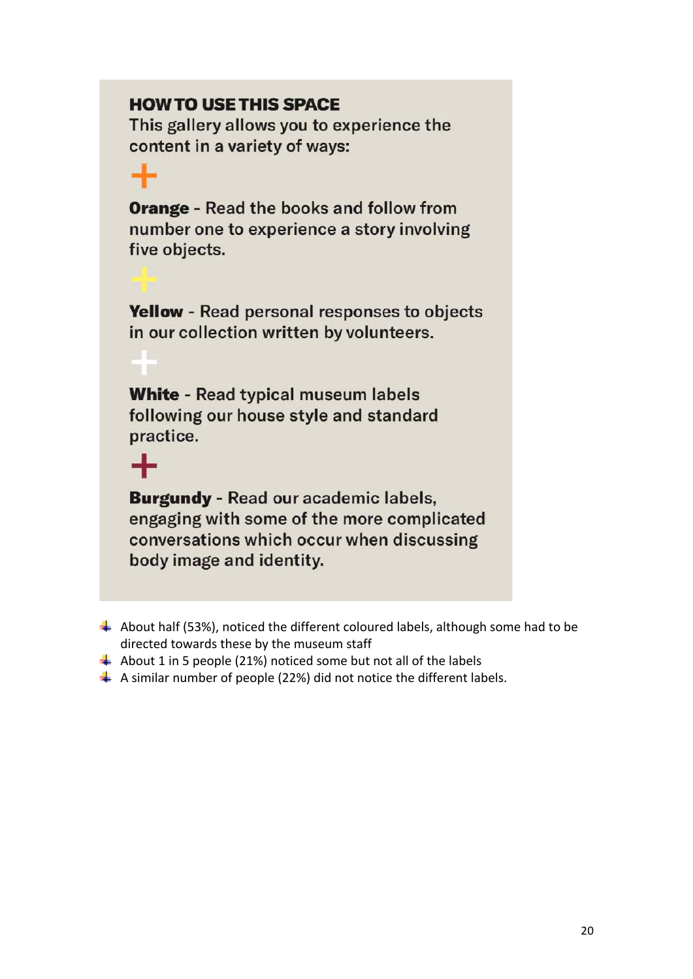## **HOW TO USE THIS SPACE**

This gallery allows you to experience the content in a variety of ways:

**Orange - Read the books and follow from** number one to experience a story involving five objects.

Yellow - Read personal responses to objects in our collection written by volunteers.

**White - Read typical museum labels** following our house style and standard practice.

 $\div$ 

**Burgundy - Read our academic labels,** engaging with some of the more complicated conversations which occur when discussing body image and identity.

- $\ddotplus$  About half (53%), noticed the different coloured labels, although some had to be directed towards these by the museum staff
- $\overline{+}$  About 1 in 5 people (21%) noticed some but not all of the labels
- $\downarrow$  A similar number of people (22%) did not notice the different labels.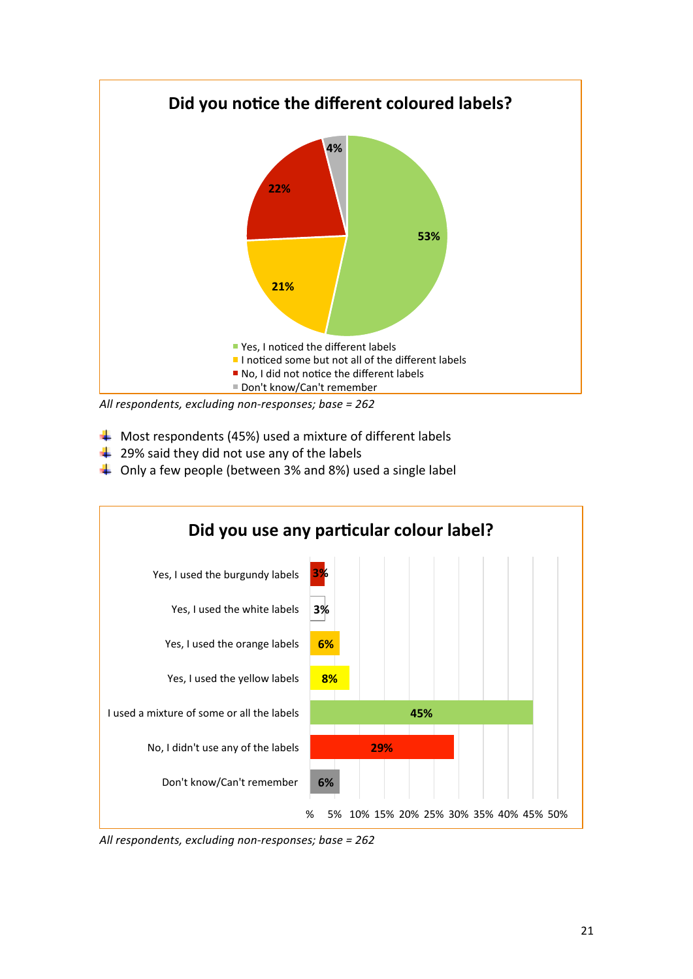

All respondents, excluding non-responses; base = 262

- $\downarrow$  Most respondents (45%) used a mixture of different labels
- $\frac{1}{2}$  29% said they did not use any of the labels
- $\downarrow$  Only a few people (between 3% and 8%) used a single label



All respondents, excluding non-responses; base = 262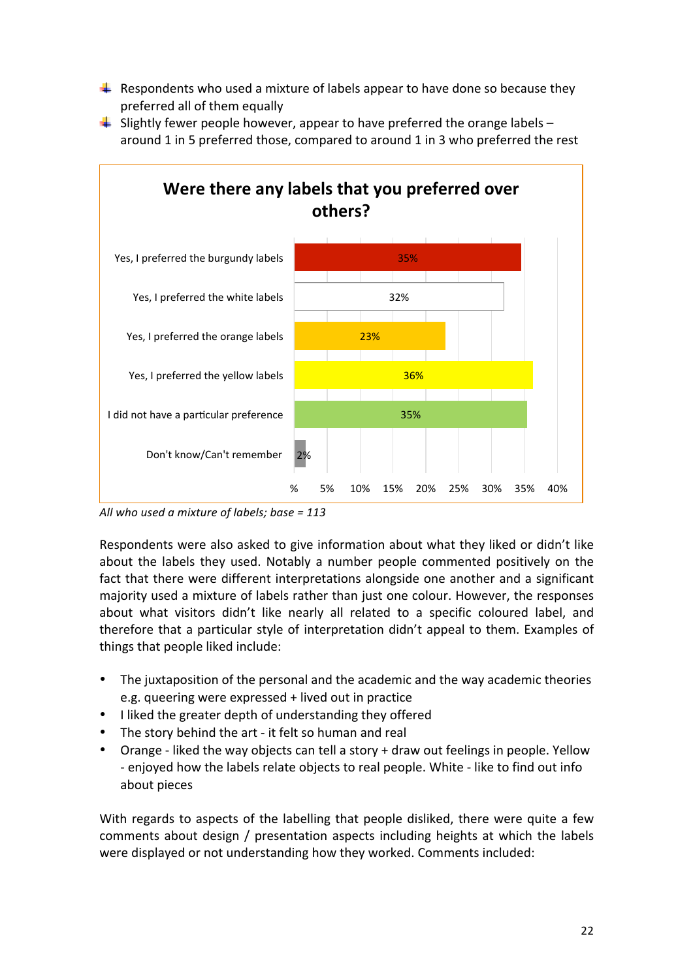- $\downarrow$  Respondents who used a mixture of labels appear to have done so because they preferred all of them equally
- $\downarrow$  Slightly fewer people however, appear to have preferred the orange labels around 1 in 5 preferred those, compared to around 1 in 3 who preferred the rest



All who used a mixture of labels; base = 113

Respondents were also asked to give information about what they liked or didn't like about the labels they used. Notably a number people commented positively on the fact that there were different interpretations alongside one another and a significant majority used a mixture of labels rather than just one colour. However, the responses about what visitors didn't like nearly all related to a specific coloured label, and therefore that a particular style of interpretation didn't appeal to them. Examples of things that people liked include:

- The juxtaposition of the personal and the academic and the way academic theories e.g. queering were expressed + lived out in practice
- I liked the greater depth of understanding they offered
- The story behind the art it felt so human and real
- Orange liked the way objects can tell a story  $+$  draw out feelings in people. Yellow - enjoyed how the labels relate objects to real people. White - like to find out info about pieces

With regards to aspects of the labelling that people disliked, there were quite a few comments about design / presentation aspects including heights at which the labels were displayed or not understanding how they worked. Comments included: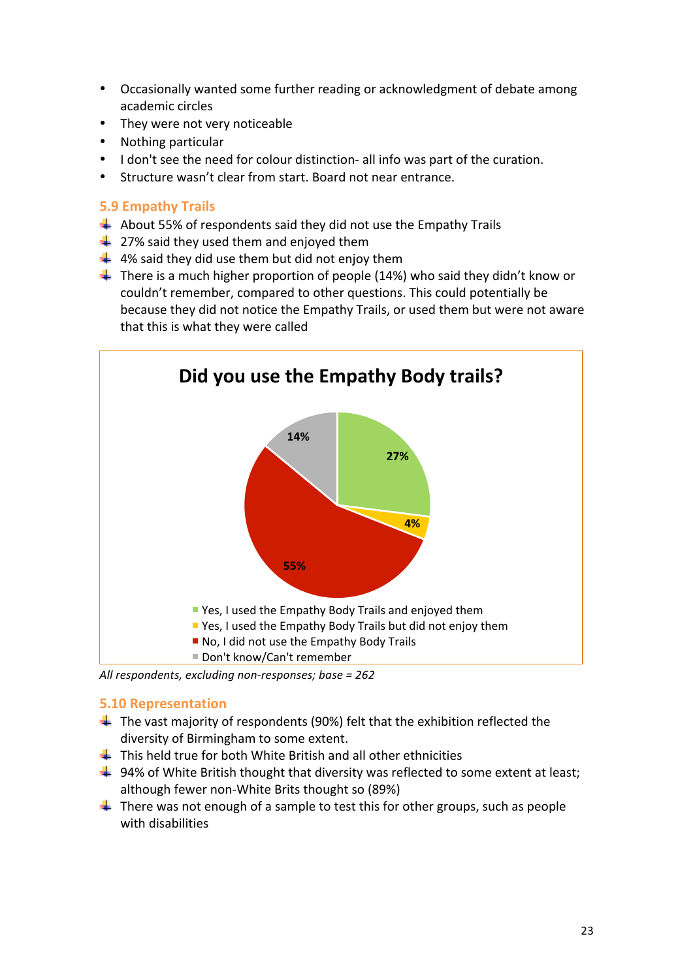- Occasionally wanted some further reading or acknowledgment of debate among academic circles
- They were not very noticeable
- Nothing particular
- I don't see the need for colour distinction- all info was part of the curation.
- Structure wasn't clear from start. Board not near entrance.

#### **5.9 Empathy Trails**

- $\overline{+}$  About 55% of respondents said they did not use the Empathy Trails
- $\frac{1}{27\%}$  said they used them and enjoyed them
- $\downarrow$  4% said they did use them but did not enjoy them
- $\downarrow$  There is a much higher proportion of people (14%) who said they didn't know or couldn't remember, compared to other questions. This could potentially be because they did not notice the Empathy Trails, or used them but were not aware that this is what they were called



All respondents, excluding non-responses; base = 262

#### **5.10 Representation**

- $\ddotplus$  The vast majority of respondents (90%) felt that the exhibition reflected the diversity of Birmingham to some extent.
- $\downarrow$  This held true for both White British and all other ethnicities
- $+$  94% of White British thought that diversity was reflected to some extent at least; although fewer non-White Brits thought so (89%)
- $\ddot$  There was not enough of a sample to test this for other groups, such as people with disabilities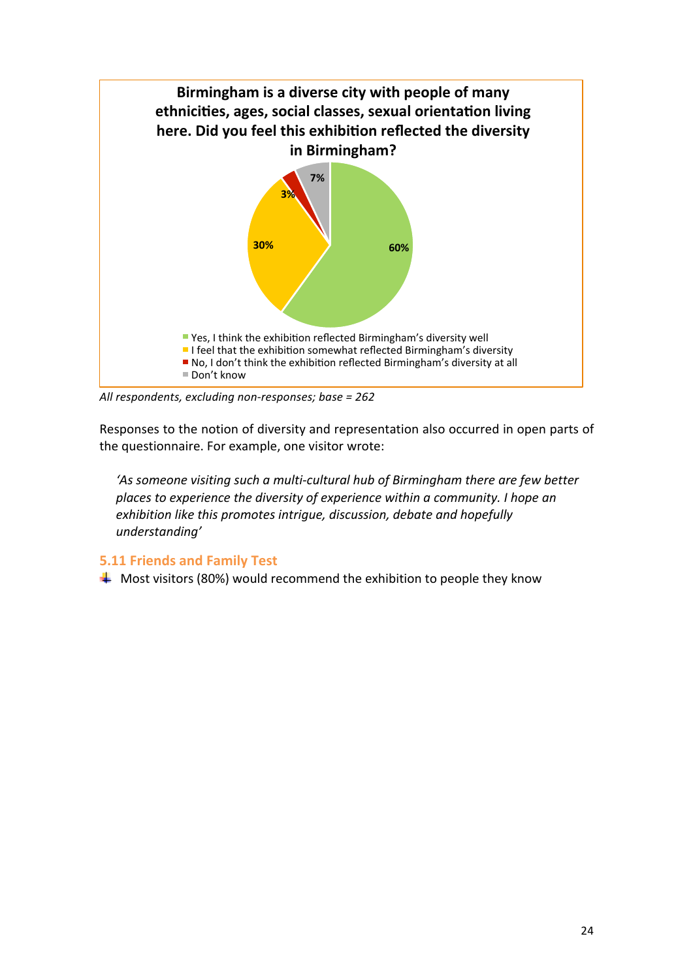

All respondents, excluding non-responses; base = 262

Responses to the notion of diversity and representation also occurred in open parts of the questionnaire. For example, one visitor wrote:

'As someone visiting such a multi-cultural hub of Birmingham there are few better places to experience the diversity of experience within a community. I hope an exhibition like this promotes intrique, discussion, debate and hopefully *understanding'*

#### **5.11 Friends and Family Test**

 $\overline{\textbf{+}}$  Most visitors (80%) would recommend the exhibition to people they know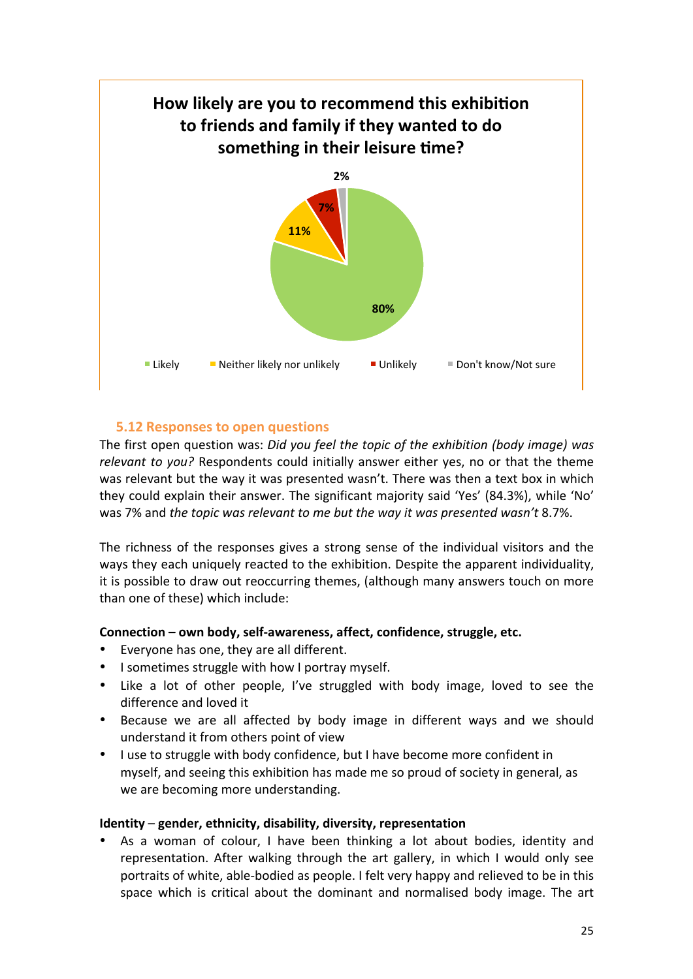

#### **5.12 Responses to open questions**

The first open question was: *Did you feel the topic of the exhibition (body image)* was *relevant to you?* Respondents could initially answer either yes, no or that the theme was relevant but the way it was presented wasn't. There was then a text box in which they could explain their answer. The significant majority said 'Yes' (84.3%), while 'No' was 7% and *the topic was relevant to me but the way it was presented wasn't* 8.7%.

The richness of the responses gives a strong sense of the individual visitors and the ways they each uniquely reacted to the exhibition. Despite the apparent individuality, it is possible to draw out reoccurring themes, (although many answers touch on more than one of these) which include:

#### **Connection** – own body, self-awareness, affect, confidence, struggle, etc.

- Everyone has one, they are all different.
- I sometimes struggle with how I portray myself.
- Like a lot of other people, I've struggled with body image, loved to see the difference and loved it
- Because we are all affected by body image in different ways and we should understand it from others point of view
- I use to struggle with body confidence, but I have become more confident in myself, and seeing this exhibition has made me so proud of society in general, as we are becoming more understanding.

#### **Identity** – gender, ethnicity, disability, diversity, representation

As a woman of colour, I have been thinking a lot about bodies, identity and representation. After walking through the art gallery, in which I would only see portraits of white, able-bodied as people. I felt very happy and relieved to be in this space which is critical about the dominant and normalised body image. The art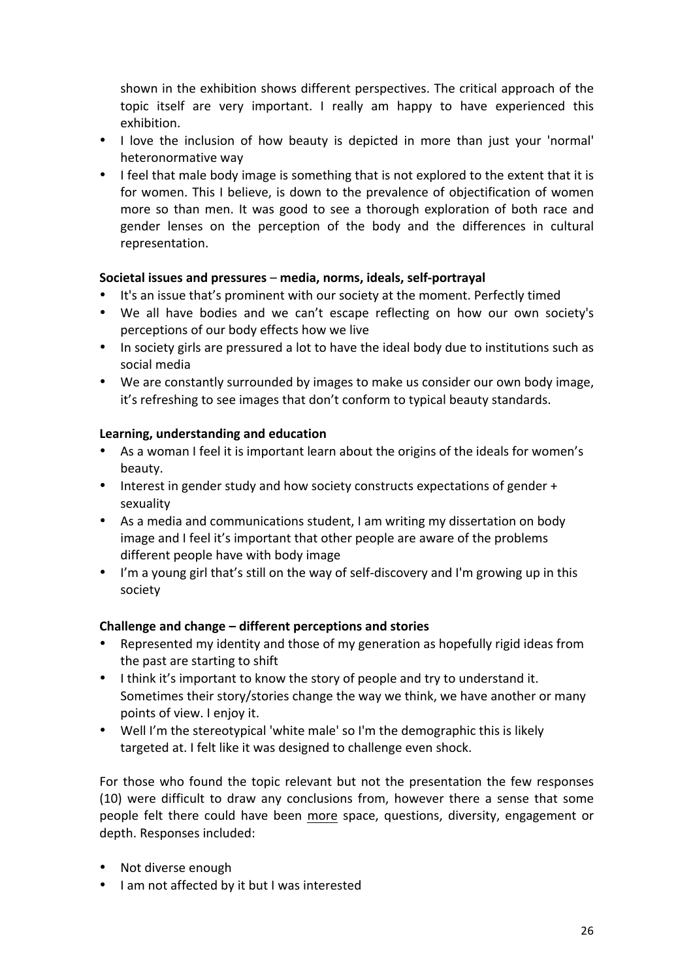shown in the exhibition shows different perspectives. The critical approach of the topic itself are very important. I really am happy to have experienced this exhibition.

- I love the inclusion of how beauty is depicted in more than just your 'normal' heteronormative way
- I feel that male body image is something that is not explored to the extent that it is for women. This I believe, is down to the prevalence of objectification of women more so than men. It was good to see a thorough exploration of both race and gender lenses on the perception of the body and the differences in cultural representation.

#### **Societal issues and pressures** – **media, norms, ideals, self-portrayal**

- It's an issue that's prominent with our society at the moment. Perfectly timed
- We all have bodies and we can't escape reflecting on how our own society's perceptions of our body effects how we live
- In society girls are pressured a lot to have the ideal body due to institutions such as social media
- We are constantly surrounded by images to make us consider our own body image, it's refreshing to see images that don't conform to typical beauty standards.

#### Learning, understanding and education

- As a woman I feel it is important learn about the origins of the ideals for women's beauty.
- Interest in gender study and how society constructs expectations of gender + sexuality
- As a media and communications student, I am writing my dissertation on body image and I feel it's important that other people are aware of the problems different people have with body image
- I'm a young girl that's still on the way of self-discovery and I'm growing up in this society

#### **Challenge and change – different perceptions and stories**

- Represented my identity and those of my generation as hopefully rigid ideas from the past are starting to shift
- I think it's important to know the story of people and try to understand it. Sometimes their story/stories change the way we think, we have another or many points of view. I enjoy it.
- Well I'm the stereotypical 'white male' so I'm the demographic this is likely targeted at. I felt like it was designed to challenge even shock.

For those who found the topic relevant but not the presentation the few responses (10) were difficult to draw any conclusions from, however there a sense that some people felt there could have been more space, questions, diversity, engagement or depth. Responses included:

- Not diverse enough
- I am not affected by it but I was interested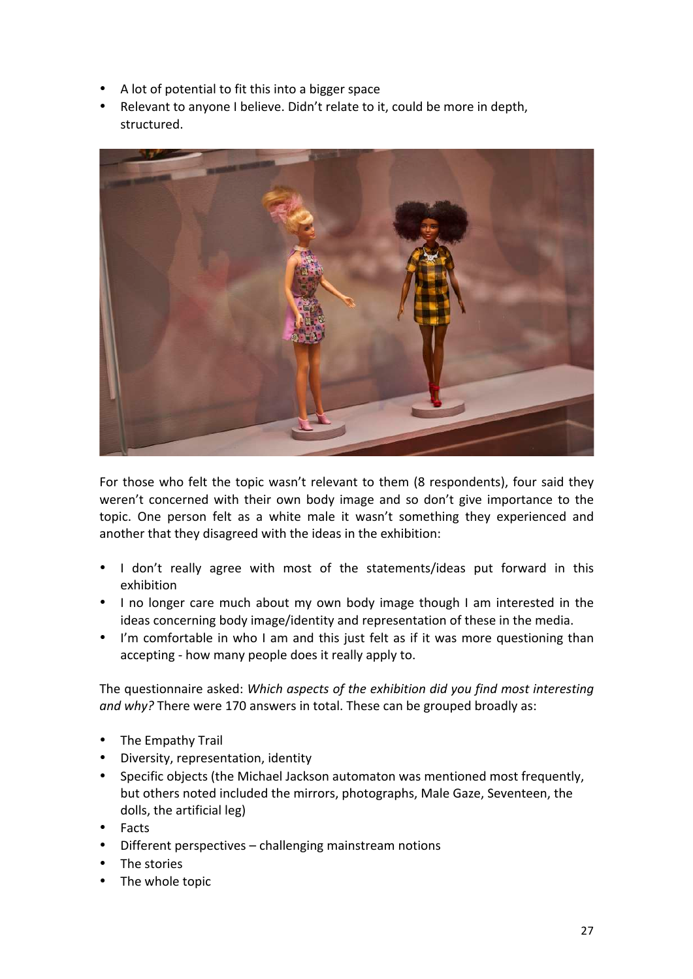- A lot of potential to fit this into a bigger space
- Relevant to anyone I believe. Didn't relate to it, could be more in depth, structured.



For those who felt the topic wasn't relevant to them (8 respondents), four said they weren't concerned with their own body image and so don't give importance to the topic. One person felt as a white male it wasn't something they experienced and another that they disagreed with the ideas in the exhibition:

- I don't really agree with most of the statements/ideas put forward in this exhibition
- I no longer care much about my own body image though I am interested in the ideas concerning body image/identity and representation of these in the media.
- I'm comfortable in who I am and this just felt as if it was more questioning than accepting - how many people does it really apply to.

The questionnaire asked: Which aspects of the exhibition did you find most interesting and why? There were 170 answers in total. These can be grouped broadly as:

- The Empathy Trail
- Diversity, representation, identity
- Specific objects (the Michael Jackson automaton was mentioned most frequently, but others noted included the mirrors, photographs, Male Gaze, Seventeen, the dolls, the artificial leg)
- Facts
- Different perspectives challenging mainstream notions
- The stories
- The whole topic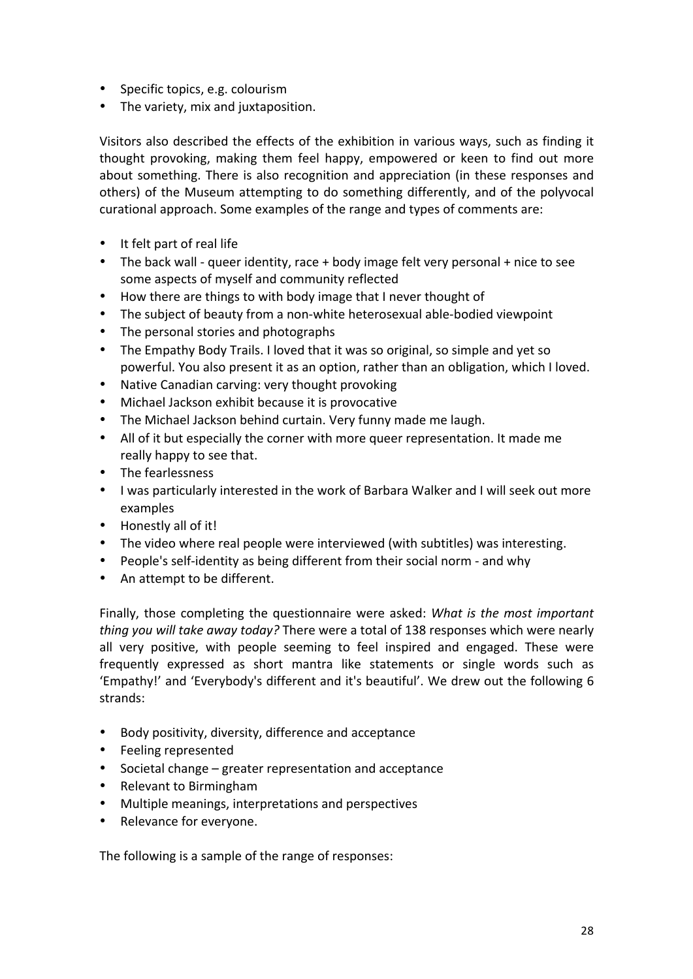- Specific topics, e.g. colourism
- The variety, mix and juxtaposition.

Visitors also described the effects of the exhibition in various ways, such as finding it thought provoking, making them feel happy, empowered or keen to find out more about something. There is also recognition and appreciation (in these responses and others) of the Museum attempting to do something differently, and of the polyvocal curational approach. Some examples of the range and types of comments are:

- It felt part of real life
- The back wall queer identity, race  $+$  body image felt very personal  $+$  nice to see some aspects of myself and community reflected
- How there are things to with body image that I never thought of
- The subject of beauty from a non-white heterosexual able-bodied viewpoint
- The personal stories and photographs
- The Empathy Body Trails. I loved that it was so original, so simple and yet so powerful. You also present it as an option, rather than an obligation, which I loved.
- Native Canadian carving: very thought provoking
- Michael Jackson exhibit because it is provocative
- The Michael Jackson behind curtain. Very funny made me laugh.
- All of it but especially the corner with more queer representation. It made me really happy to see that.
- The fearlessness
- I was particularly interested in the work of Barbara Walker and I will seek out more examples
- Honestly all of it!
- The video where real people were interviewed (with subtitles) was interesting.
- People's self-identity as being different from their social norm and why
- An attempt to be different.

Finally, those completing the questionnaire were asked: *What is the most important thing you will take away today?* There were a total of 138 responses which were nearly all very positive, with people seeming to feel inspired and engaged. These were frequently expressed as short mantra like statements or single words such as 'Empathy!' and 'Everybody's different and it's beautiful'. We drew out the following 6 strands:

- Body positivity, diversity, difference and acceptance
- Feeling represented
- Societal change greater representation and acceptance
- Relevant to Birmingham
- Multiple meanings, interpretations and perspectives
- Relevance for everyone.

The following is a sample of the range of responses: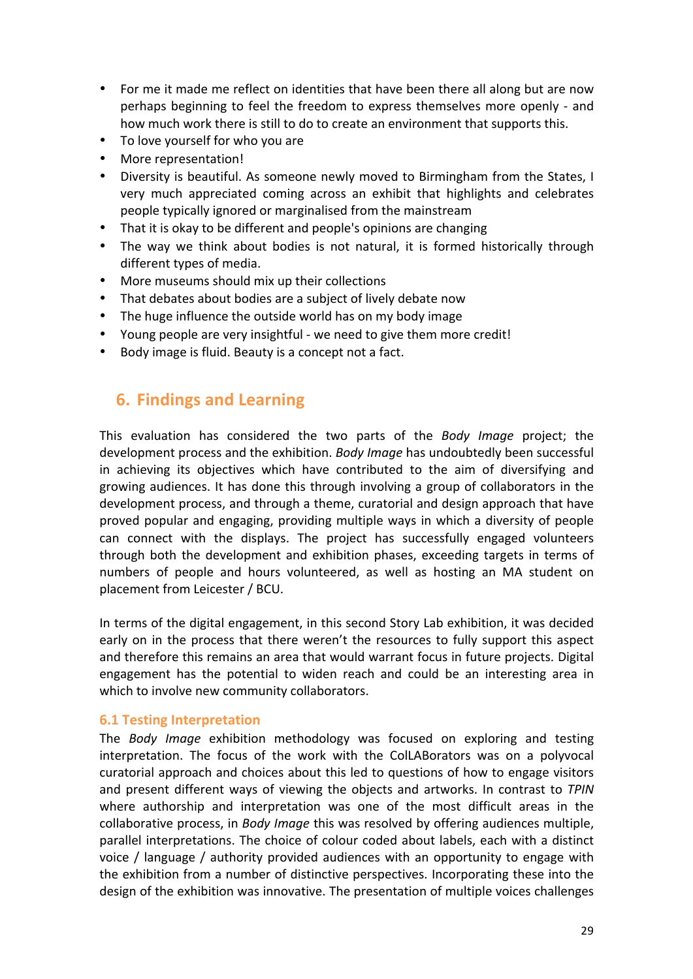- For me it made me reflect on identities that have been there all along but are now perhaps beginning to feel the freedom to express themselves more openly - and how much work there is still to do to create an environment that supports this.
- To love yourself for who you are
- More representation!
- Diversity is beautiful. As someone newly moved to Birmingham from the States, I very much appreciated coming across an exhibit that highlights and celebrates people typically ignored or marginalised from the mainstream
- That it is okay to be different and people's opinions are changing
- The way we think about bodies is not natural, it is formed historically through different types of media.
- More museums should mix up their collections
- That debates about bodies are a subject of lively debate now
- The huge influence the outside world has on my body image
- Young people are very insightful we need to give them more credit!
- Body image is fluid. Beauty is a concept not a fact.

## **6. Findings and Learning**

This evaluation has considered the two parts of the *Body Image* project; the development process and the exhibition. *Body Image* has undoubtedly been successful in achieving its objectives which have contributed to the aim of diversifying and growing audiences. It has done this through involving a group of collaborators in the development process, and through a theme, curatorial and design approach that have proved popular and engaging, providing multiple ways in which a diversity of people can connect with the displays. The project has successfully engaged volunteers through both the development and exhibition phases, exceeding targets in terms of numbers of people and hours volunteered, as well as hosting an MA student on placement from Leicester / BCU.

In terms of the digital engagement, in this second Story Lab exhibition, it was decided early on in the process that there weren't the resources to fully support this aspect and therefore this remains an area that would warrant focus in future projects. Digital engagement has the potential to widen reach and could be an interesting area in which to involve new community collaborators.

#### **6.1 Testing Interpretation**

The *Body Image* exhibition methodology was focused on exploring and testing interpretation. The focus of the work with the ColLABorators was on a polyvocal curatorial approach and choices about this led to questions of how to engage visitors and present different ways of viewing the objects and artworks. In contrast to *TPIN* where authorship and interpretation was one of the most difficult areas in the collaborative process, in *Body Image* this was resolved by offering audiences multiple, parallel interpretations. The choice of colour coded about labels, each with a distinct voice / language / authority provided audiences with an opportunity to engage with the exhibition from a number of distinctive perspectives. Incorporating these into the design of the exhibition was innovative. The presentation of multiple voices challenges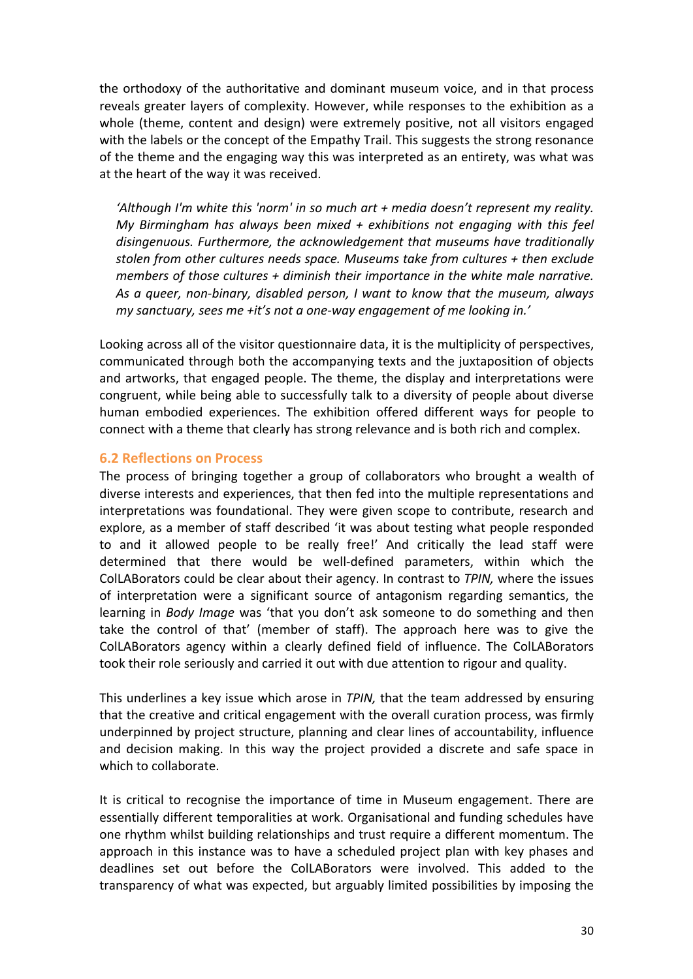the orthodoxy of the authoritative and dominant museum voice, and in that process reveals greater layers of complexity. However, while responses to the exhibition as a whole (theme, content and design) were extremely positive, not all visitors engaged with the labels or the concept of the Empathy Trail. This suggests the strong resonance of the theme and the engaging way this was interpreted as an entirety, was what was at the heart of the way it was received.

'Although I'm white this 'norm' in so much art + media doesn't represent my reality. *My Birmingham has always been mixed + exhibitions not engaging with this feel* disingenuous. Furthermore, the acknowledgement that museums have traditionally stolen from other cultures needs space. Museums take from cultures + then exclude *members* of those cultures + diminish their importance in the white male narrative. As a queer, non-binary, disabled person, I want to know that the museum, always *my* sanctuary, sees me +it's not a one-way engagement of me looking in.'

Looking across all of the visitor questionnaire data, it is the multiplicity of perspectives, communicated through both the accompanying texts and the juxtaposition of objects and artworks, that engaged people. The theme, the display and interpretations were congruent, while being able to successfully talk to a diversity of people about diverse human embodied experiences. The exhibition offered different ways for people to connect with a theme that clearly has strong relevance and is both rich and complex.

#### **6.2 Reflections on Process**

The process of bringing together a group of collaborators who brought a wealth of diverse interests and experiences, that then fed into the multiple representations and interpretations was foundational. They were given scope to contribute, research and explore, as a member of staff described 'it was about testing what people responded to and it allowed people to be really free!' And critically the lead staff were determined that there would be well-defined parameters, within which the ColLABorators could be clear about their agency. In contrast to *TPIN*, where the issues of interpretation were a significant source of antagonism regarding semantics, the learning in *Body Image* was 'that you don't ask someone to do something and then take the control of that' (member of staff). The approach here was to give the ColLABorators agency within a clearly defined field of influence. The ColLABorators took their role seriously and carried it out with due attention to rigour and quality.

This underlines a key issue which arose in *TPIN*, that the team addressed by ensuring that the creative and critical engagement with the overall curation process, was firmly underpinned by project structure, planning and clear lines of accountability, influence and decision making. In this way the project provided a discrete and safe space in which to collaborate.

It is critical to recognise the importance of time in Museum engagement. There are essentially different temporalities at work. Organisational and funding schedules have one rhythm whilst building relationships and trust require a different momentum. The approach in this instance was to have a scheduled project plan with key phases and deadlines set out before the ColLABorators were involved. This added to the transparency of what was expected, but arguably limited possibilities by imposing the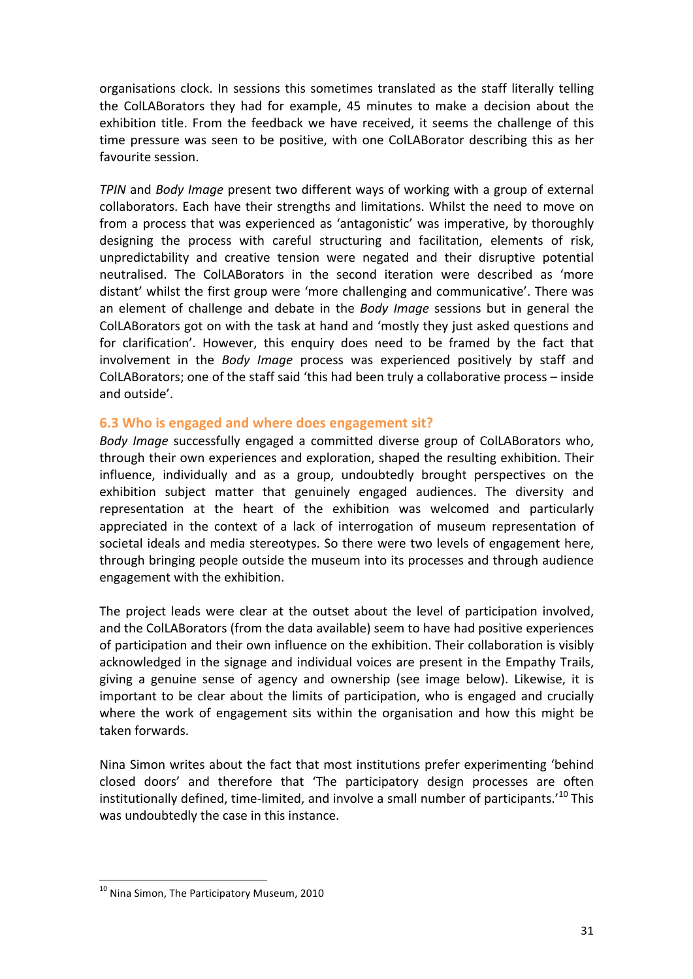organisations clock. In sessions this sometimes translated as the staff literally telling the ColLABorators they had for example, 45 minutes to make a decision about the exhibition title. From the feedback we have received, it seems the challenge of this time pressure was seen to be positive, with one ColLABorator describing this as her favourite session.

*TPIN* and *Body Image* present two different ways of working with a group of external collaborators. Each have their strengths and limitations. Whilst the need to move on from a process that was experienced as 'antagonistic' was imperative, by thoroughly designing the process with careful structuring and facilitation, elements of risk, unpredictability and creative tension were negated and their disruptive potential neutralised. The ColLABorators in the second iteration were described as 'more distant' whilst the first group were 'more challenging and communicative'. There was an element of challenge and debate in the *Body Image* sessions but in general the ColLABorators got on with the task at hand and 'mostly they just asked questions and for clarification'. However, this enquiry does need to be framed by the fact that involvement in the *Body Image* process was experienced positively by staff and ColLABorators; one of the staff said 'this had been truly a collaborative process  $-$  inside and outside'.

#### **6.3** Who is engaged and where does engagement sit?

Body Image successfully engaged a committed diverse group of ColLABorators who, through their own experiences and exploration, shaped the resulting exhibition. Their influence, individually and as a group, undoubtedly brought perspectives on the exhibition subject matter that genuinely engaged audiences. The diversity and representation at the heart of the exhibition was welcomed and particularly appreciated in the context of a lack of interrogation of museum representation of societal ideals and media stereotypes. So there were two levels of engagement here, through bringing people outside the museum into its processes and through audience engagement with the exhibition.

The project leads were clear at the outset about the level of participation involved, and the ColLABorators (from the data available) seem to have had positive experiences of participation and their own influence on the exhibition. Their collaboration is visibly acknowledged in the signage and individual voices are present in the Empathy Trails, giving a genuine sense of agency and ownership (see image below). Likewise, it is important to be clear about the limits of participation, who is engaged and crucially where the work of engagement sits within the organisation and how this might be taken forwards.

Nina Simon writes about the fact that most institutions prefer experimenting 'behind closed doors' and therefore that 'The participatory design processes are often institutionally defined, time-limited, and involve a small number of participants.<sup>'10</sup> This was undoubtedly the case in this instance.

 

 $10$  Nina Simon, The Participatory Museum, 2010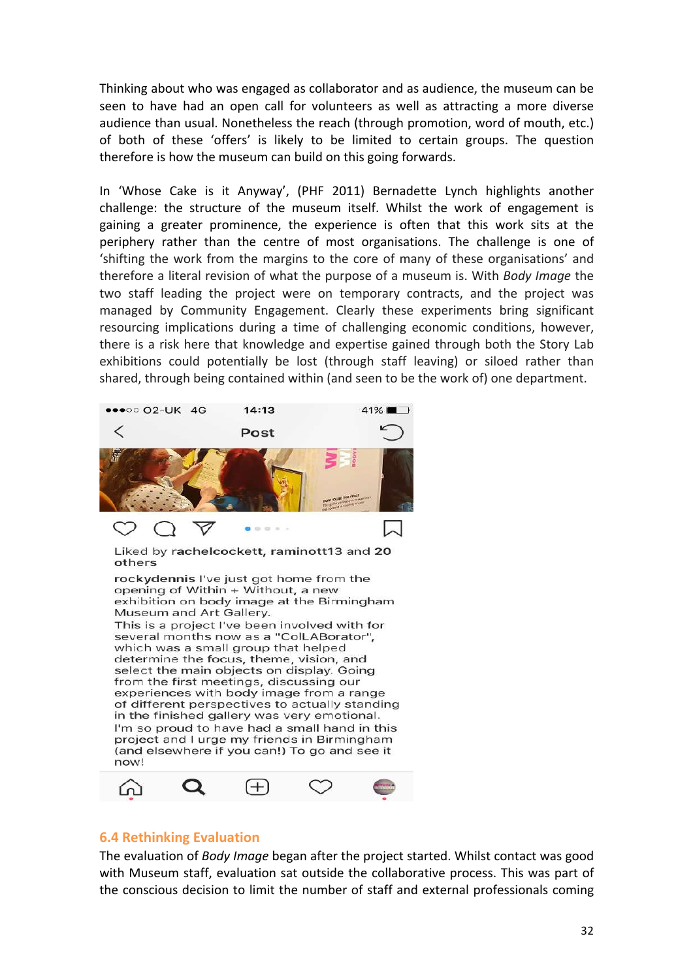Thinking about who was engaged as collaborator and as audience, the museum can be seen to have had an open call for volunteers as well as attracting a more diverse audience than usual. Nonetheless the reach (through promotion, word of mouth, etc.) of both of these 'offers' is likely to be limited to certain groups. The question therefore is how the museum can build on this going forwards.

In 'Whose Cake is it Anyway', (PHF 2011) Bernadette Lynch highlights another challenge: the structure of the museum itself. Whilst the work of engagement is gaining a greater prominence, the experience is often that this work sits at the periphery rather than the centre of most organisations. The challenge is one of 'shifting the work from the margins to the core of many of these organisations' and therefore a literal revision of what the purpose of a museum is. With *Body Image* the two staff leading the project were on temporary contracts, and the project was managed by Community Engagement. Clearly these experiments bring significant resourcing implications during a time of challenging economic conditions, however, there is a risk here that knowledge and expertise gained through both the Story Lab exhibitions could potentially be lost (through staff leaving) or siloed rather than shared, through being contained within (and seen to be the work of) one department.



(and elsewhere if you can!) To go and see it now!  $^{+}$ ഫ

#### **6.4 Rethinking Evaluation**

The evaluation of *Body Image* began after the project started. Whilst contact was good with Museum staff, evaluation sat outside the collaborative process. This was part of the conscious decision to limit the number of staff and external professionals coming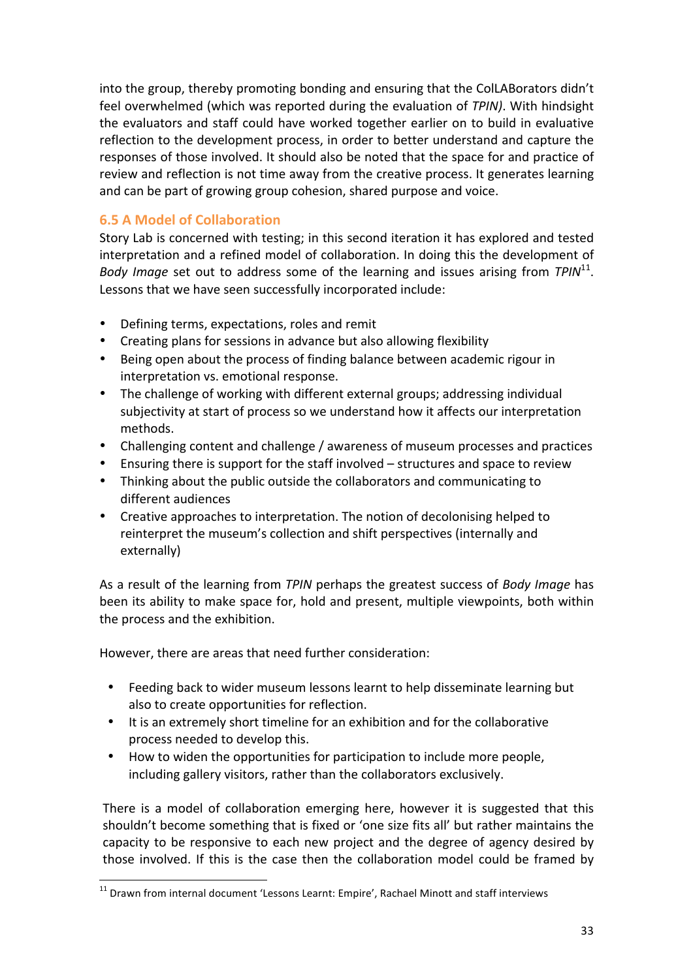into the group, thereby promoting bonding and ensuring that the ColLABorators didn't feel overwhelmed (which was reported during the evaluation of *TPIN*). With hindsight the evaluators and staff could have worked together earlier on to build in evaluative reflection to the development process, in order to better understand and capture the responses of those involved. It should also be noted that the space for and practice of review and reflection is not time away from the creative process. It generates learning and can be part of growing group cohesion, shared purpose and voice.

#### **6.5 A Model of Collaboration**

Story Lab is concerned with testing; in this second iteration it has explored and tested interpretation and a refined model of collaboration. In doing this the development of *Body Image* set out to address some of the learning and issues arising from *TPIN*<sup>11</sup>. Lessons that we have seen successfully incorporated include:

- Defining terms, expectations, roles and remit
- Creating plans for sessions in advance but also allowing flexibility
- Being open about the process of finding balance between academic rigour in interpretation vs. emotional response.
- The challenge of working with different external groups; addressing individual subjectivity at start of process so we understand how it affects our interpretation methods.
- Challenging content and challenge / awareness of museum processes and practices
- Ensuring there is support for the staff involved  $-$  structures and space to review
- Thinking about the public outside the collaborators and communicating to different audiences
- Creative approaches to interpretation. The notion of decolonising helped to reinterpret the museum's collection and shift perspectives (internally and externally)

As a result of the learning from *TPIN* perhaps the greatest success of *Body Image* has been its ability to make space for, hold and present, multiple viewpoints, both within the process and the exhibition.

However, there are areas that need further consideration:

 

- Feeding back to wider museum lessons learnt to help disseminate learning but also to create opportunities for reflection.
- It is an extremely short timeline for an exhibition and for the collaborative process needed to develop this.
- How to widen the opportunities for participation to include more people, including gallery visitors, rather than the collaborators exclusively.

There is a model of collaboration emerging here, however it is suggested that this shouldn't become something that is fixed or 'one size fits all' but rather maintains the capacity to be responsive to each new project and the degree of agency desired by those involved. If this is the case then the collaboration model could be framed by

 $11$  Drawn from internal document 'Lessons Learnt: Empire', Rachael Minott and staff interviews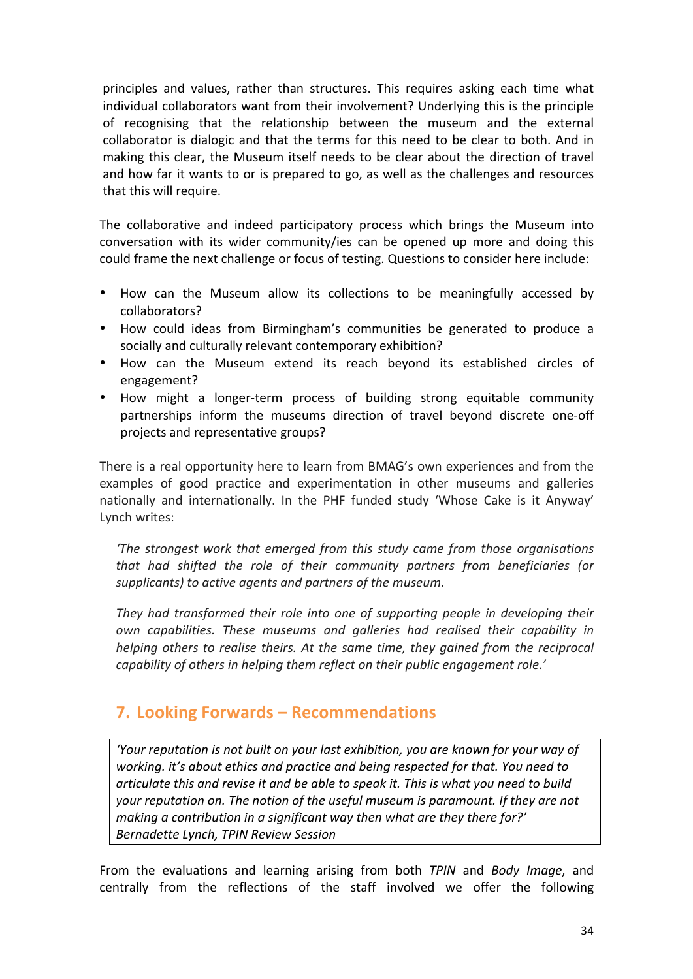principles and values, rather than structures. This requires asking each time what individual collaborators want from their involvement? Underlying this is the principle of recognising that the relationship between the museum and the external collaborator is dialogic and that the terms for this need to be clear to both. And in making this clear, the Museum itself needs to be clear about the direction of travel and how far it wants to or is prepared to go, as well as the challenges and resources that this will require.

The collaborative and indeed participatory process which brings the Museum into conversation with its wider community/ies can be opened up more and doing this could frame the next challenge or focus of testing. Questions to consider here include:

- How can the Museum allow its collections to be meaningfully accessed by collaborators?
- How could ideas from Birmingham's communities be generated to produce a socially and culturally relevant contemporary exhibition?
- How can the Museum extend its reach beyond its established circles of engagement?
- How might a longer-term process of building strong equitable community partnerships inform the museums direction of travel beyond discrete one-off projects and representative groups?

There is a real opportunity here to learn from BMAG's own experiences and from the examples of good practice and experimentation in other museums and galleries nationally and internationally. In the PHF funded study 'Whose Cake is it Anyway' Lynch writes:

*The strongest work that emerged from this study came from those organisations* that had shifted the role of their community partners from beneficiaries (or supplicants) to active agents and partners of the museum.

They had transformed their role into one of supporting people in developing their own capabilities. These museums and galleries had realised their capability in *helping* others to realise theirs. At the same time, they gained from the reciprocal *capability* of others in helping them reflect on their public engagement role.'

## **7. Looking Forwards – Recommendations**

*'Your reputation is not built on your last exhibition, you are known for your way of working.* it's about ethics and practice and being respected for that. You need to articulate this and revise it and be able to speak it. This is what you need to build your reputation on. The notion of the useful museum is paramount. If they are not *making a contribution in a significant way then what are they there for?' Bernadette Lynch, TPIN Review Session*

From the evaluations and learning arising from both *TPIN* and *Body Image*, and centrally from the reflections of the staff involved we offer the following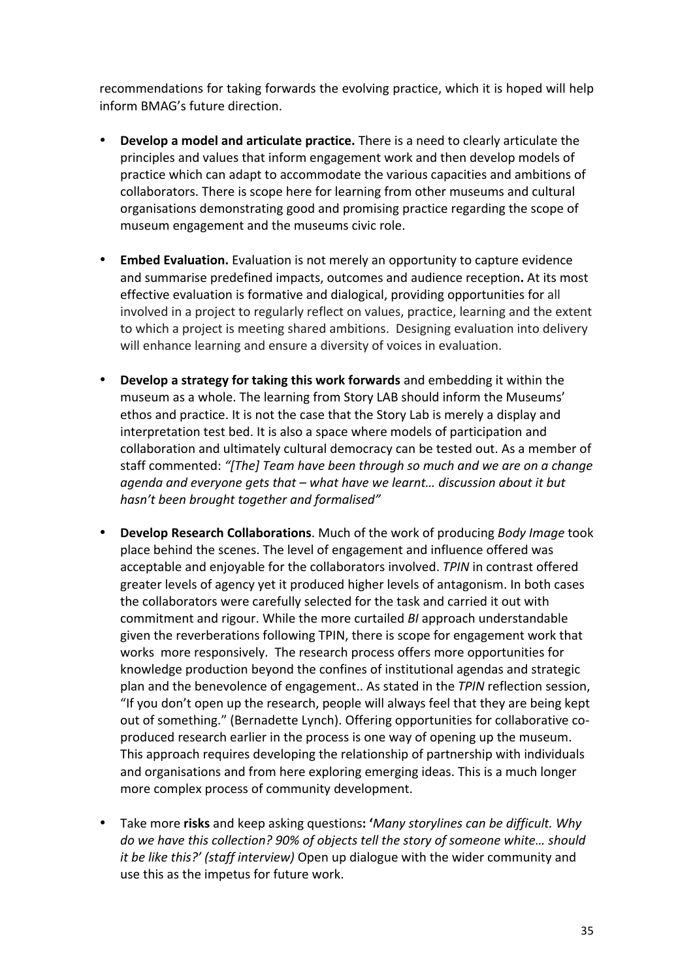recommendations for taking forwards the evolving practice, which it is hoped will help inform BMAG's future direction.

- **Develop a model and articulate practice.** There is a need to clearly articulate the principles and values that inform engagement work and then develop models of practice which can adapt to accommodate the various capacities and ambitions of collaborators. There is scope here for learning from other museums and cultural organisations demonstrating good and promising practice regarding the scope of museum engagement and the museums civic role.
- **Embed Evaluation.** Evaluation is not merely an opportunity to capture evidence and summarise predefined impacts, outcomes and audience reception. At its most effective evaluation is formative and dialogical, providing opportunities for all involved in a project to regularly reflect on values, practice, learning and the extent to which a project is meeting shared ambitions. Designing evaluation into delivery will enhance learning and ensure a diversity of voices in evaluation.
- Develop a strategy for taking this work forwards and embedding it within the museum as a whole. The learning from Story LAB should inform the Museums' ethos and practice. It is not the case that the Story Lab is merely a display and interpretation test bed. It is also a space where models of participation and collaboration and ultimately cultural democracy can be tested out. As a member of staff commented: "[The] Team have been through so much and we are on a change agenda and everyone gets that – what have we learnt... discussion about it but hasn't been brought together and formalised"
- **Develop Research Collaborations**. Much of the work of producing *Body Image* took place behind the scenes. The level of engagement and influence offered was acceptable and enjoyable for the collaborators involved. *TPIN* in contrast offered greater levels of agency yet it produced higher levels of antagonism. In both cases the collaborators were carefully selected for the task and carried it out with commitment and rigour. While the more curtailed *BI* approach understandable given the reverberations following TPIN, there is scope for engagement work that works more responsively. The research process offers more opportunities for knowledge production beyond the confines of institutional agendas and strategic plan and the benevolence of engagement.. As stated in the *TPIN* reflection session, "If you don't open up the research, people will always feel that they are being kept out of something." (Bernadette Lynch). Offering opportunities for collaborative coproduced research earlier in the process is one way of opening up the museum. This approach requires developing the relationship of partnership with individuals and organisations and from here exploring emerging ideas. This is a much longer more complex process of community development.
- Take more risks and keep asking questions: 'Many storylines can be difficult. Why *do* we have this collection? 90% of objects tell the story of someone white... should *it be like this?'* (staff interview) Open up dialogue with the wider community and use this as the impetus for future work.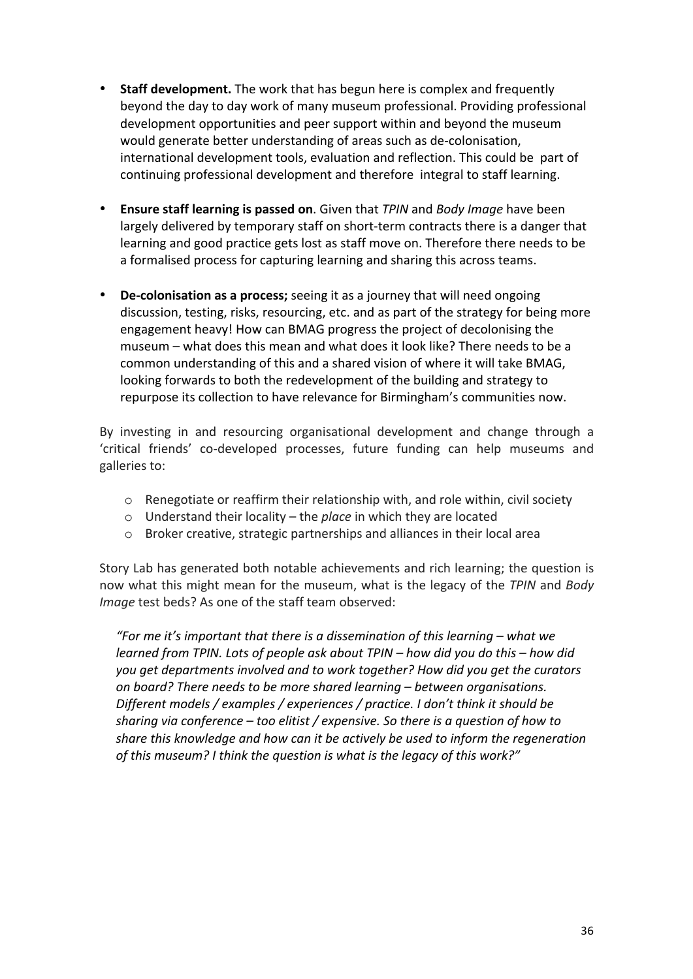- **Staff development.** The work that has begun here is complex and frequently beyond the day to day work of many museum professional. Providing professional development opportunities and peer support within and beyond the museum would generate better understanding of areas such as de-colonisation, international development tools, evaluation and reflection. This could be part of continuing professional development and therefore integral to staff learning.
- **Ensure staff learning is passed on**. Given that *TPIN* and *Body Image* have been largely delivered by temporary staff on short-term contracts there is a danger that learning and good practice gets lost as staff move on. Therefore there needs to be a formalised process for capturing learning and sharing this across teams.
- De-colonisation as a process; seeing it as a journey that will need ongoing discussion, testing, risks, resourcing, etc. and as part of the strategy for being more engagement heavy! How can BMAG progress the project of decolonising the museum – what does this mean and what does it look like? There needs to be a common understanding of this and a shared vision of where it will take BMAG, looking forwards to both the redevelopment of the building and strategy to repurpose its collection to have relevance for Birmingham's communities now.

By investing in and resourcing organisational development and change through a 'critical friends' co-developed processes, future funding can help museums and galleries to:

- $\circ$  Renegotiate or reaffirm their relationship with, and role within, civil society
- o Understand their locality the *place* in which they are located
- o Broker creative, strategic partnerships and alliances in their local area

Story Lab has generated both notable achievements and rich learning; the question is now what this might mean for the museum, what is the legacy of the *TPIN* and *Body Image* test beds? As one of the staff team observed:

*"For me it's important that there is a dissemination of this learning – what we learned from TPIN. Lots of people ask about TPIN* – how did you do this – how did *you* get departments involved and to work together? How did you get the curators on board? There needs to be more shared learning – between organisations. *Different models* / examples / experiences / practice. I don't think it should be *sharing via conference* – *too elitist* / expensive. So there is a question of how to *share this knowledge and how can it be actively be used to inform the regeneration* of this museum? I think the question is what is the legacy of this work?"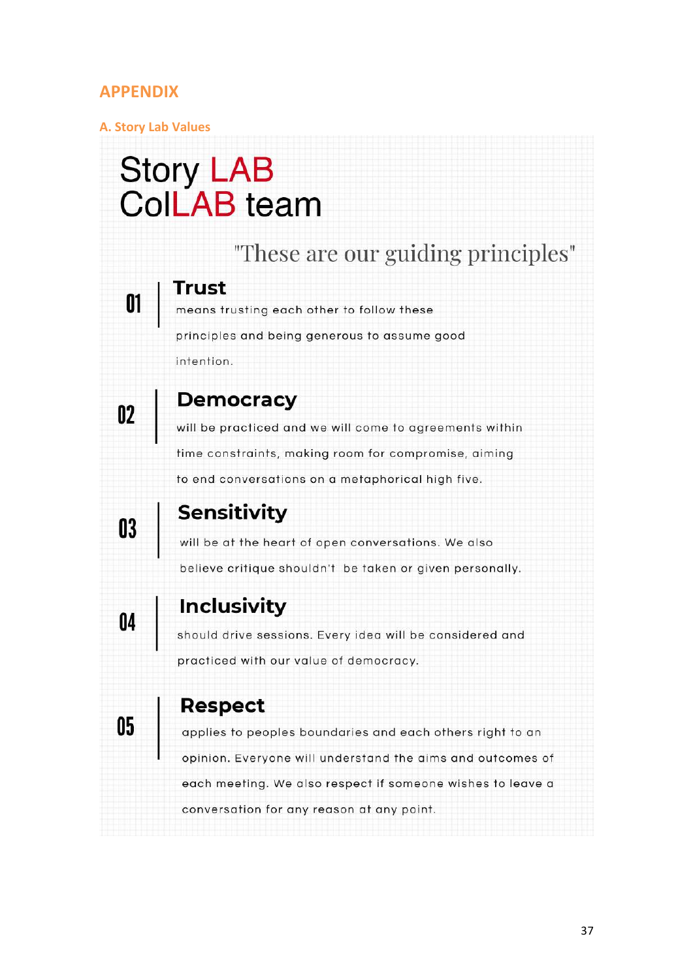### **APPENDIX**

01

#### **A. Story Lab Values**

# **Story LAB ColLAB** team

# "These are our guiding principles"

## Trust

means trusting each other to follow these principles and being generous to assume good intention.

# **Democracy**

will be practiced and we will come to agreements within time constraints, making room for compromise, aiming to end conversations on a metaphorical high five.

# 03

02

# **Sensitivity**

will be at the heart of open conversations. We also believe critique shouldn't be taken or given personally.

 $\mathbf{0}$ 

05

# **Inclusivity**

should drive sessions. Every idea will be considered and practiced with our value of democracy.

# **Respect**

applies to peoples boundaries and each others right to an opinion. Everyone will understand the aims and outcomes of each meeting. We also respect if someone wishes to leave a conversation for any reason at any point.